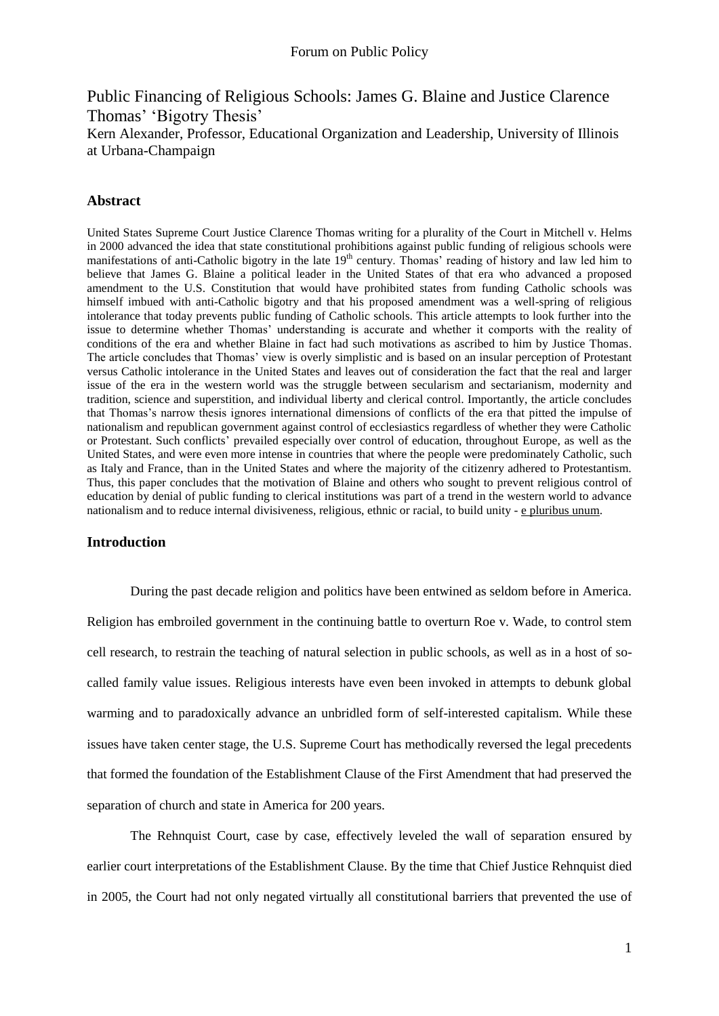Public Financing of Religious Schools: James G. Blaine and Justice Clarence Thomas' 'Bigotry Thesis' Kern Alexander, Professor, Educational Organization and Leadership, University of Illinois at Urbana-Champaign

# **Abstract**

United States Supreme Court Justice Clarence Thomas writing for a plurality of the Court in Mitchell v. Helms in 2000 advanced the idea that state constitutional prohibitions against public funding of religious schools were manifestations of anti-Catholic bigotry in the late  $19<sup>th</sup>$  century. Thomas' reading of history and law led him to believe that James G. Blaine a political leader in the United States of that era who advanced a proposed amendment to the U.S. Constitution that would have prohibited states from funding Catholic schools was himself imbued with anti-Catholic bigotry and that his proposed amendment was a well-spring of religious intolerance that today prevents public funding of Catholic schools. This article attempts to look further into the issue to determine whether Thomas' understanding is accurate and whether it comports with the reality of conditions of the era and whether Blaine in fact had such motivations as ascribed to him by Justice Thomas. The article concludes that Thomas" view is overly simplistic and is based on an insular perception of Protestant versus Catholic intolerance in the United States and leaves out of consideration the fact that the real and larger issue of the era in the western world was the struggle between secularism and sectarianism, modernity and tradition, science and superstition, and individual liberty and clerical control. Importantly, the article concludes that Thomas"s narrow thesis ignores international dimensions of conflicts of the era that pitted the impulse of nationalism and republican government against control of ecclesiastics regardless of whether they were Catholic or Protestant. Such conflicts" prevailed especially over control of education, throughout Europe, as well as the United States, and were even more intense in countries that where the people were predominately Catholic, such as Italy and France, than in the United States and where the majority of the citizenry adhered to Protestantism. Thus, this paper concludes that the motivation of Blaine and others who sought to prevent religious control of education by denial of public funding to clerical institutions was part of a trend in the western world to advance nationalism and to reduce internal divisiveness, religious, ethnic or racial, to build unity - e pluribus unum.

## **Introduction**

During the past decade religion and politics have been entwined as seldom before in America. Religion has embroiled government in the continuing battle to overturn Roe v. Wade, to control stem cell research, to restrain the teaching of natural selection in public schools, as well as in a host of socalled family value issues. Religious interests have even been invoked in attempts to debunk global warming and to paradoxically advance an unbridled form of self-interested capitalism. While these issues have taken center stage, the U.S. Supreme Court has methodically reversed the legal precedents that formed the foundation of the Establishment Clause of the First Amendment that had preserved the separation of church and state in America for 200 years.

The Rehnquist Court, case by case, effectively leveled the wall of separation ensured by earlier court interpretations of the Establishment Clause. By the time that Chief Justice Rehnquist died in 2005, the Court had not only negated virtually all constitutional barriers that prevented the use of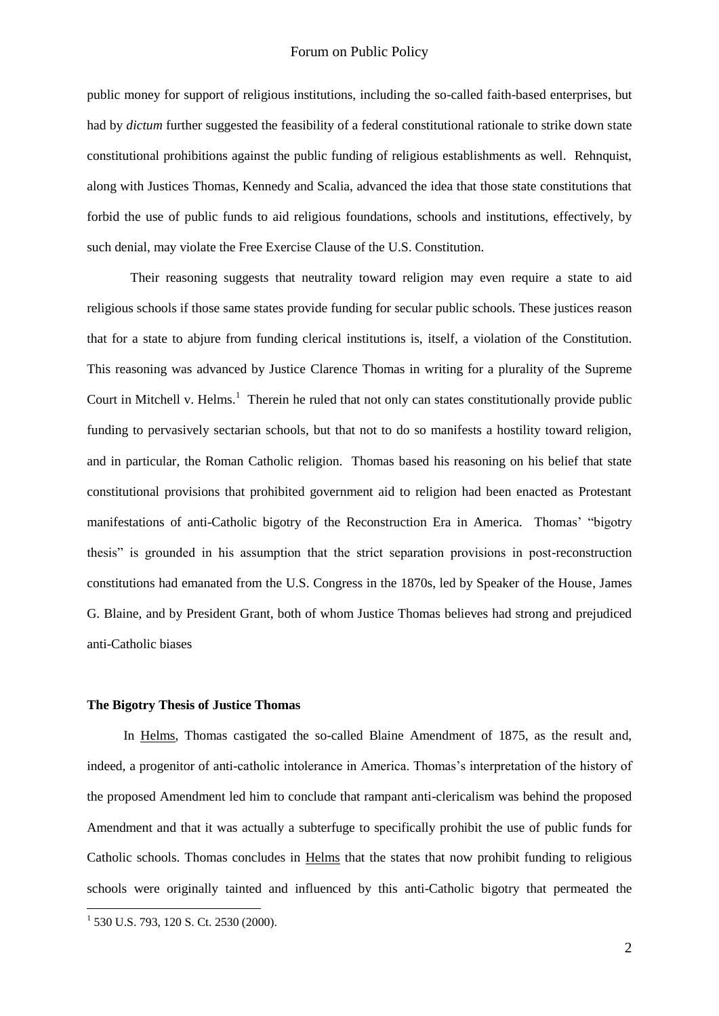public money for support of religious institutions, including the so-called faith-based enterprises, but had by *dictum* further suggested the feasibility of a federal constitutional rationale to strike down state constitutional prohibitions against the public funding of religious establishments as well. Rehnquist, along with Justices Thomas, Kennedy and Scalia, advanced the idea that those state constitutions that forbid the use of public funds to aid religious foundations, schools and institutions, effectively, by such denial, may violate the Free Exercise Clause of the U.S. Constitution.

Their reasoning suggests that neutrality toward religion may even require a state to aid religious schools if those same states provide funding for secular public schools. These justices reason that for a state to abjure from funding clerical institutions is, itself, a violation of the Constitution. This reasoning was advanced by Justice Clarence Thomas in writing for a plurality of the Supreme Court in Mitchell v. Helms. $<sup>1</sup>$  Therein he ruled that not only can states constitutionally provide public</sup> funding to pervasively sectarian schools, but that not to do so manifests a hostility toward religion, and in particular, the Roman Catholic religion. Thomas based his reasoning on his belief that state constitutional provisions that prohibited government aid to religion had been enacted as Protestant manifestations of anti-Catholic bigotry of the Reconstruction Era in America. Thomas" "bigotry thesis" is grounded in his assumption that the strict separation provisions in post-reconstruction constitutions had emanated from the U.S. Congress in the 1870s, led by Speaker of the House, James G. Blaine, and by President Grant, both of whom Justice Thomas believes had strong and prejudiced anti-Catholic biases

### **The Bigotry Thesis of Justice Thomas**

 In Helms, Thomas castigated the so-called Blaine Amendment of 1875, as the result and, indeed, a progenitor of anti-catholic intolerance in America. Thomas's interpretation of the history of the proposed Amendment led him to conclude that rampant anti-clericalism was behind the proposed Amendment and that it was actually a subterfuge to specifically prohibit the use of public funds for Catholic schools. Thomas concludes in Helms that the states that now prohibit funding to religious schools were originally tainted and influenced by this anti-Catholic bigotry that permeated the

 1 530 U.S. 793, 120 S. Ct. 2530 (2000).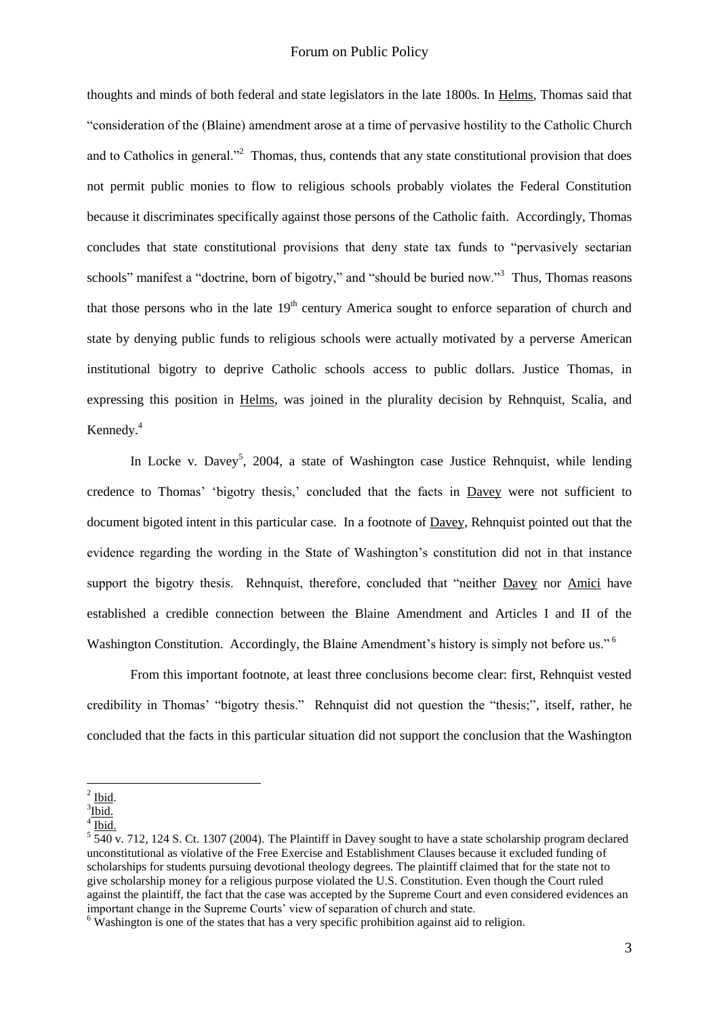### Forum on Public Policy

thoughts and minds of both federal and state legislators in the late 1800s. In Helms, Thomas said that "consideration of the (Blaine) amendment arose at a time of pervasive hostility to the Catholic Church and to Catholics in general."<sup>2</sup> Thomas, thus, contends that any state constitutional provision that does not permit public monies to flow to religious schools probably violates the Federal Constitution because it discriminates specifically against those persons of the Catholic faith. Accordingly, Thomas concludes that state constitutional provisions that deny state tax funds to "pervasively sectarian schools" manifest a "doctrine, born of bigotry," and "should be buried now."<sup>3</sup> Thus, Thomas reasons that those persons who in the late  $19<sup>th</sup>$  century America sought to enforce separation of church and state by denying public funds to religious schools were actually motivated by a perverse American institutional bigotry to deprive Catholic schools access to public dollars. Justice Thomas, in expressing this position in Helms, was joined in the plurality decision by Rehnquist, Scalia, and Kennedy.<sup>4</sup>

In Locke v. Davey<sup>5</sup>, 2004, a state of Washington case Justice Rehnquist, while lending credence to Thomas' 'bigotry thesis,' concluded that the facts in Davey were not sufficient to document bigoted intent in this particular case. In a footnote of Davey, Rehnquist pointed out that the evidence regarding the wording in the State of Washington"s constitution did not in that instance support the bigotry thesis. Rehnquist, therefore, concluded that "neither Davey nor Amici have established a credible connection between the Blaine Amendment and Articles I and II of the Washington Constitution. Accordingly, the Blaine Amendment's history is simply not before us."<sup>6</sup>

From this important footnote, at least three conclusions become clear: first, Rehnquist vested credibility in Thomas" "bigotry thesis." Rehnquist did not question the "thesis;", itself, rather, he concluded that the facts in this particular situation did not support the conclusion that the Washington

 $2$  Ibid.

<sup>&</sup>lt;sup>3</sup>Ibid.

 $4 \overline{\text{Ibid.}}$ 

 $5\overline{540}$  v. 712, 124 S. Ct. 1307 (2004). The Plaintiff in Davey sought to have a state scholarship program declared unconstitutional as violative of the Free Exercise and Establishment Clauses because it excluded funding of scholarships for students pursuing devotional theology degrees. The plaintiff claimed that for the state not to give scholarship money for a religious purpose violated the U.S. Constitution. Even though the Court ruled against the plaintiff, the fact that the case was accepted by the Supreme Court and even considered evidences an important change in the Supreme Courts' view of separation of church and state.

 $6$  Washington is one of the states that has a very specific prohibition against aid to religion.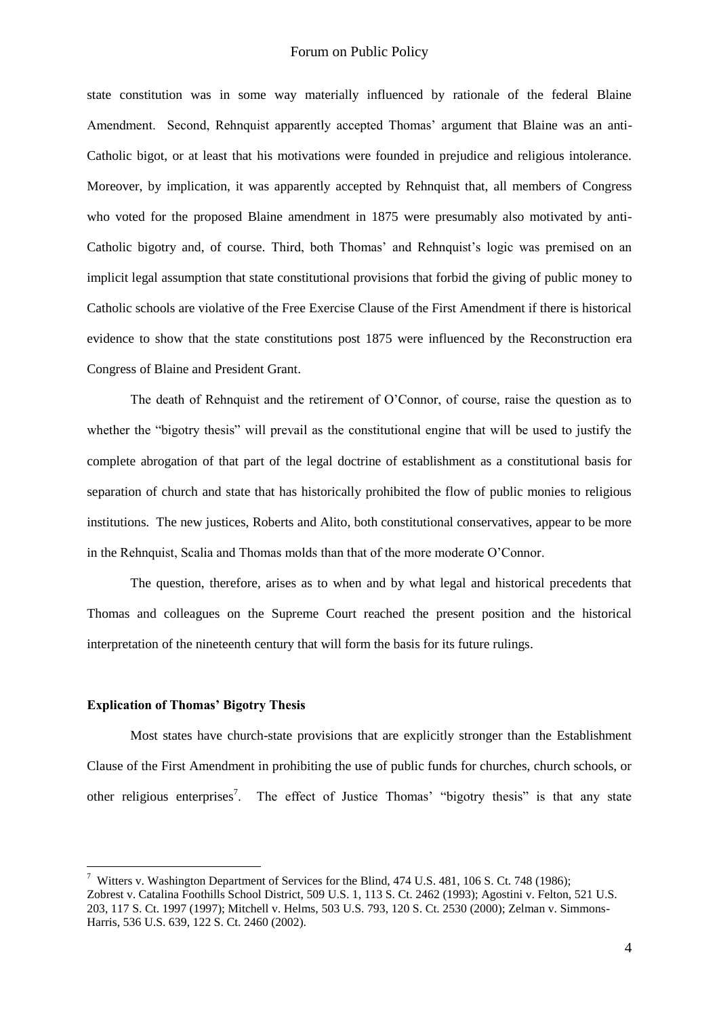state constitution was in some way materially influenced by rationale of the federal Blaine Amendment. Second, Rehnquist apparently accepted Thomas' argument that Blaine was an anti-Catholic bigot, or at least that his motivations were founded in prejudice and religious intolerance. Moreover, by implication, it was apparently accepted by Rehnquist that, all members of Congress who voted for the proposed Blaine amendment in 1875 were presumably also motivated by anti-Catholic bigotry and, of course. Third, both Thomas" and Rehnquist"s logic was premised on an implicit legal assumption that state constitutional provisions that forbid the giving of public money to Catholic schools are violative of the Free Exercise Clause of the First Amendment if there is historical evidence to show that the state constitutions post 1875 were influenced by the Reconstruction era Congress of Blaine and President Grant.

The death of Rehnquist and the retirement of O"Connor, of course, raise the question as to whether the "bigotry thesis" will prevail as the constitutional engine that will be used to justify the complete abrogation of that part of the legal doctrine of establishment as a constitutional basis for separation of church and state that has historically prohibited the flow of public monies to religious institutions. The new justices, Roberts and Alito, both constitutional conservatives, appear to be more in the Rehnquist, Scalia and Thomas molds than that of the more moderate O"Connor.

The question, therefore, arises as to when and by what legal and historical precedents that Thomas and colleagues on the Supreme Court reached the present position and the historical interpretation of the nineteenth century that will form the basis for its future rulings.

#### **Explication of Thomas' Bigotry Thesis**

1

Most states have church-state provisions that are explicitly stronger than the Establishment Clause of the First Amendment in prohibiting the use of public funds for churches, church schools, or other religious enterprises<sup>7</sup>. The effect of Justice Thomas' "bigotry thesis" is that any state

<sup>&</sup>lt;sup>7</sup> Witters v. Washington Department of Services for the Blind, 474 U.S. 481, 106 S. Ct. 748 (1986); Zobrest v. Catalina Foothills School District, 509 U.S. 1, 113 S. Ct. 2462 (1993); Agostini v. Felton, 521 U.S. 203, 117 S. Ct. 1997 (1997); Mitchell v. Helms, 503 U.S. 793, 120 S. Ct. 2530 (2000); Zelman v. Simmons-Harris, 536 U.S. 639, 122 S. Ct. 2460 (2002).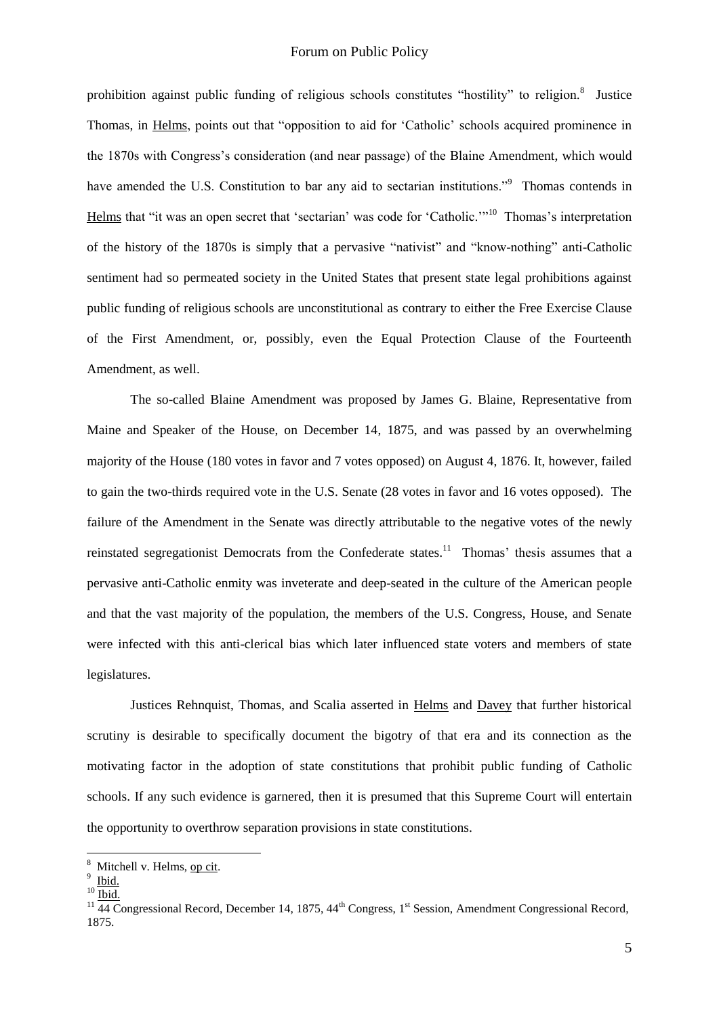# Forum on Public Policy

prohibition against public funding of religious schools constitutes "hostility" to religion.<sup>8</sup> Justice Thomas, in Helms, points out that "opposition to aid for "Catholic" schools acquired prominence in the 1870s with Congress"s consideration (and near passage) of the Blaine Amendment, which would have amended the U.S. Constitution to bar any aid to sectarian institutions."<sup>9</sup> Thomas contends in Helms that "it was an open secret that 'sectarian' was code for 'Catholic."<sup>10</sup> Thomas's interpretation of the history of the 1870s is simply that a pervasive "nativist" and "know-nothing" anti-Catholic sentiment had so permeated society in the United States that present state legal prohibitions against public funding of religious schools are unconstitutional as contrary to either the Free Exercise Clause of the First Amendment, or, possibly, even the Equal Protection Clause of the Fourteenth Amendment, as well.

The so-called Blaine Amendment was proposed by James G. Blaine, Representative from Maine and Speaker of the House, on December 14, 1875, and was passed by an overwhelming majority of the House (180 votes in favor and 7 votes opposed) on August 4, 1876. It, however, failed to gain the two-thirds required vote in the U.S. Senate (28 votes in favor and 16 votes opposed). The failure of the Amendment in the Senate was directly attributable to the negative votes of the newly reinstated segregationist Democrats from the Confederate states.<sup>11</sup> Thomas' thesis assumes that a pervasive anti-Catholic enmity was inveterate and deep-seated in the culture of the American people and that the vast majority of the population, the members of the U.S. Congress, House, and Senate were infected with this anti-clerical bias which later influenced state voters and members of state legislatures.

Justices Rehnquist, Thomas, and Scalia asserted in Helms and Davey that further historical scrutiny is desirable to specifically document the bigotry of that era and its connection as the motivating factor in the adoption of state constitutions that prohibit public funding of Catholic schools. If any such evidence is garnered, then it is presumed that this Supreme Court will entertain the opportunity to overthrow separation provisions in state constitutions.

<u>.</u>

<sup>&</sup>lt;sup>8</sup> Mitchell v. Helms, op cit.

<sup>&</sup>lt;sup>9</sup> Ibid.

 $10$  Ibid.

 $11\overline{44}$  Congressional Record, December 14, 1875,  $44^{\text{th}}$  Congress, 1<sup>st</sup> Session, Amendment Congressional Record, 1875.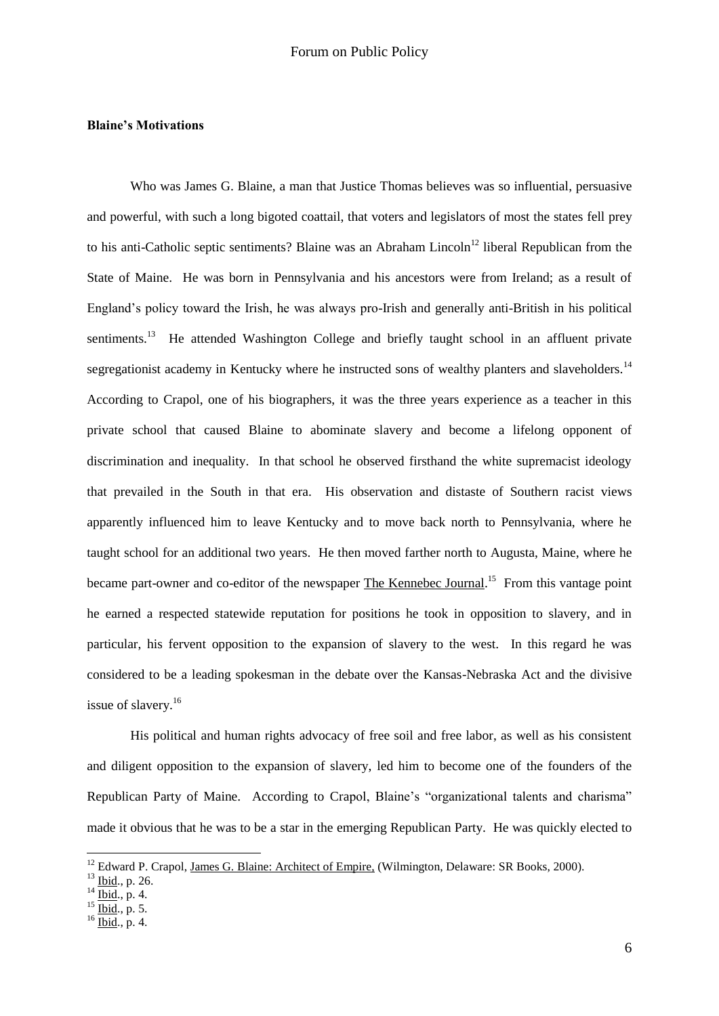## **Blaine's Motivations**

Who was James G. Blaine, a man that Justice Thomas believes was so influential, persuasive and powerful, with such a long bigoted coattail, that voters and legislators of most the states fell prey to his anti-Catholic septic sentiments? Blaine was an Abraham Lincoln<sup>12</sup> liberal Republican from the State of Maine. He was born in Pennsylvania and his ancestors were from Ireland; as a result of England"s policy toward the Irish, he was always pro-Irish and generally anti-British in his political sentiments.<sup>13</sup> He attended Washington College and briefly taught school in an affluent private segregationist academy in Kentucky where he instructed sons of wealthy planters and slaveholders.<sup>14</sup> According to Crapol, one of his biographers, it was the three years experience as a teacher in this private school that caused Blaine to abominate slavery and become a lifelong opponent of discrimination and inequality. In that school he observed firsthand the white supremacist ideology that prevailed in the South in that era. His observation and distaste of Southern racist views apparently influenced him to leave Kentucky and to move back north to Pennsylvania, where he taught school for an additional two years. He then moved farther north to Augusta, Maine, where he became part-owner and co-editor of the newspaper The Kennebec Journal.<sup>15</sup> From this vantage point he earned a respected statewide reputation for positions he took in opposition to slavery, and in particular, his fervent opposition to the expansion of slavery to the west. In this regard he was considered to be a leading spokesman in the debate over the Kansas-Nebraska Act and the divisive issue of slavery.<sup>16</sup>

His political and human rights advocacy of free soil and free labor, as well as his consistent and diligent opposition to the expansion of slavery, led him to become one of the founders of the Republican Party of Maine. According to Crapol, Blaine's "organizational talents and charisma" made it obvious that he was to be a star in the emerging Republican Party. He was quickly elected to

<u>.</u>

<sup>&</sup>lt;sup>12</sup> Edward P. Crapol, James G. Blaine: Architect of Empire, (Wilmington, Delaware: SR Books, 2000).

<sup>13</sup> Ibid., p. 26.

 $14 \underline{Ibid.}, p. 4.$ 

 $^{15}$  Ibid., p. 5.

 $16$  Ibid., p. 4.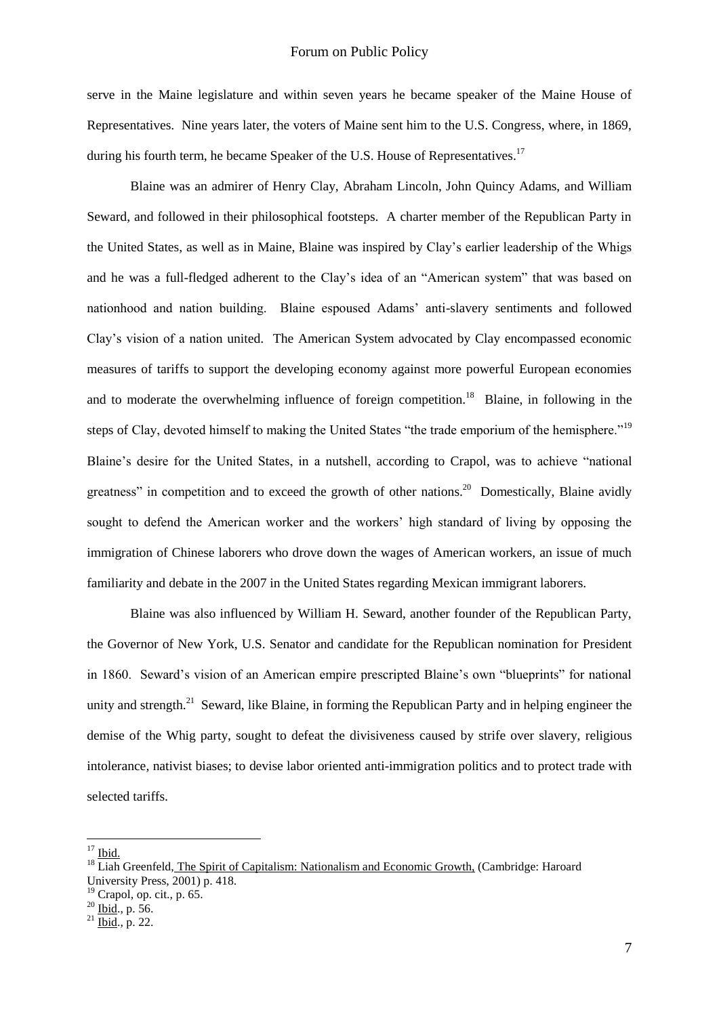serve in the Maine legislature and within seven years he became speaker of the Maine House of Representatives. Nine years later, the voters of Maine sent him to the U.S. Congress, where, in 1869, during his fourth term, he became Speaker of the U.S. House of Representatives.<sup>17</sup>

Blaine was an admirer of Henry Clay, Abraham Lincoln, John Quincy Adams, and William Seward, and followed in their philosophical footsteps. A charter member of the Republican Party in the United States, as well as in Maine, Blaine was inspired by Clay"s earlier leadership of the Whigs and he was a full-fledged adherent to the Clay"s idea of an "American system" that was based on nationhood and nation building. Blaine espoused Adams" anti-slavery sentiments and followed Clay"s vision of a nation united. The American System advocated by Clay encompassed economic measures of tariffs to support the developing economy against more powerful European economies and to moderate the overwhelming influence of foreign competition.<sup>18</sup> Blaine, in following in the steps of Clay, devoted himself to making the United States "the trade emporium of the hemisphere."<sup>19</sup> Blaine"s desire for the United States, in a nutshell, according to Crapol, was to achieve "national greatness" in competition and to exceed the growth of other nations.<sup>20</sup> Domestically, Blaine avidly sought to defend the American worker and the workers' high standard of living by opposing the immigration of Chinese laborers who drove down the wages of American workers, an issue of much familiarity and debate in the 2007 in the United States regarding Mexican immigrant laborers.

Blaine was also influenced by William H. Seward, another founder of the Republican Party, the Governor of New York, U.S. Senator and candidate for the Republican nomination for President in 1860. Seward"s vision of an American empire prescripted Blaine"s own "blueprints" for national unity and strength.<sup>21</sup> Seward, like Blaine, in forming the Republican Party and in helping engineer the demise of the Whig party, sought to defeat the divisiveness caused by strife over slavery, religious intolerance, nativist biases; to devise labor oriented anti-immigration politics and to protect trade with selected tariffs.

 $17$  Ibid.

 $18$  Liah Greenfeld, The Spirit of Capitalism: Nationalism and Economic Growth, (Cambridge: Haroard University Press, 2001) p. 418.

<sup>&</sup>lt;sup>19</sup> Crapol, op. cit., p. 65.

 $^{20}$  Ibid., p. 56.

 $^{21}$  Ibid., p. 22.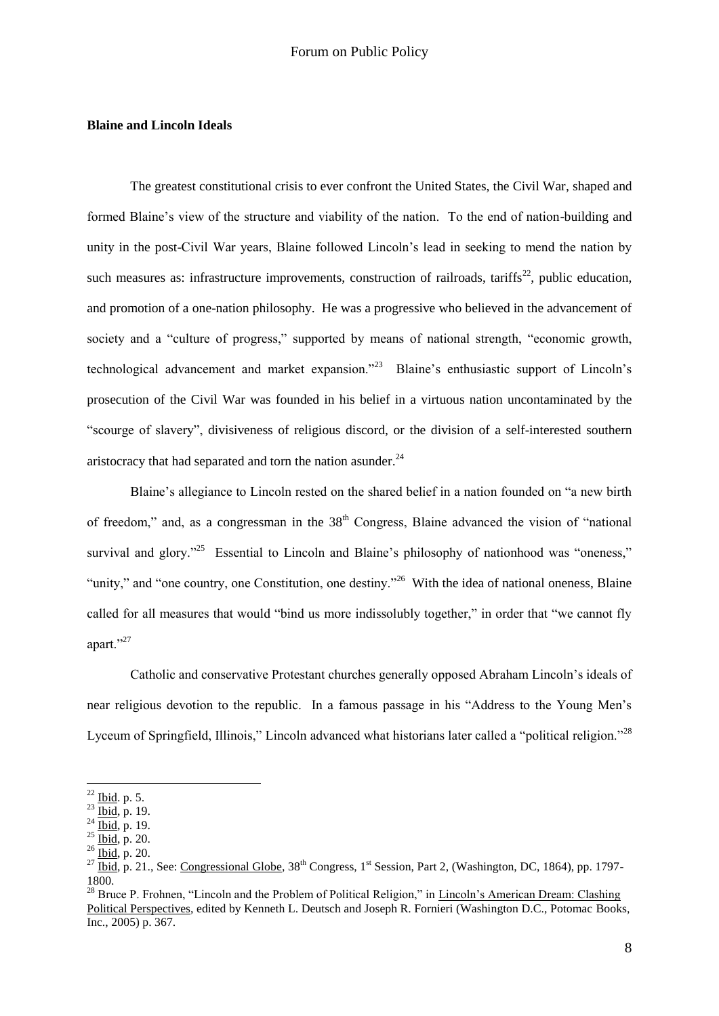## **Blaine and Lincoln Ideals**

The greatest constitutional crisis to ever confront the United States, the Civil War, shaped and formed Blaine's view of the structure and viability of the nation. To the end of nation-building and unity in the post-Civil War years, Blaine followed Lincoln"s lead in seeking to mend the nation by such measures as: infrastructure improvements, construction of railroads, tariffs<sup>22</sup>, public education, and promotion of a one-nation philosophy. He was a progressive who believed in the advancement of society and a "culture of progress," supported by means of national strength, "economic growth, technological advancement and market expansion."<sup>23</sup> Blaine's enthusiastic support of Lincoln's prosecution of the Civil War was founded in his belief in a virtuous nation uncontaminated by the "scourge of slavery", divisiveness of religious discord, or the division of a self-interested southern aristocracy that had separated and torn the nation asunder. $^{24}$ 

Blaine"s allegiance to Lincoln rested on the shared belief in a nation founded on "a new birth of freedom," and, as a congressman in the  $38<sup>th</sup>$  Congress, Blaine advanced the vision of "national" survival and glory."<sup>25</sup> Essential to Lincoln and Blaine's philosophy of nationhood was "oneness," "unity," and "one country, one Constitution, one destiny."<sup>26</sup> With the idea of national oneness, Blaine called for all measures that would "bind us more indissolubly together," in order that "we cannot fly apart."<sup>27</sup>

Catholic and conservative Protestant churches generally opposed Abraham Lincoln"s ideals of near religious devotion to the republic. In a famous passage in his "Address to the Young Men"s Lyceum of Springfield, Illinois," Lincoln advanced what historians later called a "political religion."<sup>28</sup>

 $^{22}$  Ibid. p. 5.

 $^{23}$   $\frac{\text{box}}{\text{Ibid}}$ , p. 19.

 $^{24}$  Ibid, p. 19.

 $25 \overline{\text{Ibid}}, p. 20.$ 

 $26 \overline{\text{Ibid}}, \text{p. } 20.$ 

<sup>&</sup>lt;sup>27</sup> Ibid, p. 21., See: Congressional Globe,  $38<sup>th</sup>$  Congress, 1<sup>st</sup> Session, Part 2, (Washington, DC, 1864), pp. 1797-1800.

<sup>&</sup>lt;sup>28</sup> Bruce P. Frohnen, "Lincoln and the Problem of Political Religion," in Lincoln's American Dream: Clashing Political Perspectives, edited by Kenneth L. Deutsch and Joseph R. Fornieri (Washington D.C., Potomac Books, Inc., 2005) p. 367.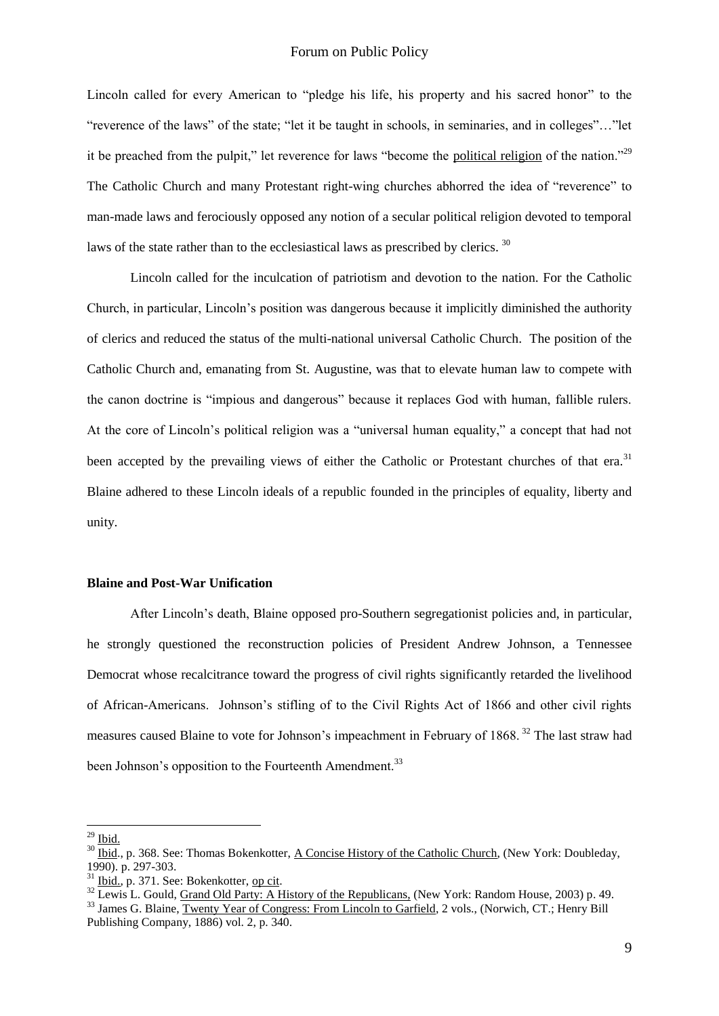Lincoln called for every American to "pledge his life, his property and his sacred honor" to the "reverence of the laws" of the state; "let it be taught in schools, in seminaries, and in colleges"…"let it be preached from the pulpit," let reverence for laws "become the political religion of the nation."<sup>29</sup> The Catholic Church and many Protestant right-wing churches abhorred the idea of "reverence" to man-made laws and ferociously opposed any notion of a secular political religion devoted to temporal laws of the state rather than to the ecclesiastical laws as prescribed by clerics.<sup>30</sup>

Lincoln called for the inculcation of patriotism and devotion to the nation. For the Catholic Church, in particular, Lincoln"s position was dangerous because it implicitly diminished the authority of clerics and reduced the status of the multi-national universal Catholic Church. The position of the Catholic Church and, emanating from St. Augustine, was that to elevate human law to compete with the canon doctrine is "impious and dangerous" because it replaces God with human, fallible rulers. At the core of Lincoln"s political religion was a "universal human equality," a concept that had not been accepted by the prevailing views of either the Catholic or Protestant churches of that era.<sup>31</sup> Blaine adhered to these Lincoln ideals of a republic founded in the principles of equality, liberty and unity.

## **Blaine and Post-War Unification**

After Lincoln"s death, Blaine opposed pro-Southern segregationist policies and, in particular, he strongly questioned the reconstruction policies of President Andrew Johnson, a Tennessee Democrat whose recalcitrance toward the progress of civil rights significantly retarded the livelihood of African-Americans. Johnson"s stifling of to the Civil Rights Act of 1866 and other civil rights measures caused Blaine to vote for Johnson's impeachment in February of 1868.<sup>32</sup> The last straw had been Johnson's opposition to the Fourteenth Amendment.<sup>33</sup>

 $^{29}$  Ibid.

<sup>&</sup>lt;sup>30</sup> Ibid., p. 368. See: Thomas Bokenkotter, A Concise History of the Catholic Church, (New York: Doubleday, 1990). p. 297-303.

 $31$  Ibid., p. 371. See: Bokenkotter, op cit.

<sup>&</sup>lt;sup>32</sup> Lewis L. Gould, <u>Grand Old Party: A History of the Republicans,</u> (New York: Random House, 2003) p. 49.

<sup>&</sup>lt;sup>33</sup> James G. Blaine, Twenty Year of Congress: From Lincoln to Garfield, 2 vols., (Norwich, CT.; Henry Bill Publishing Company, 1886) vol. 2, p. 340.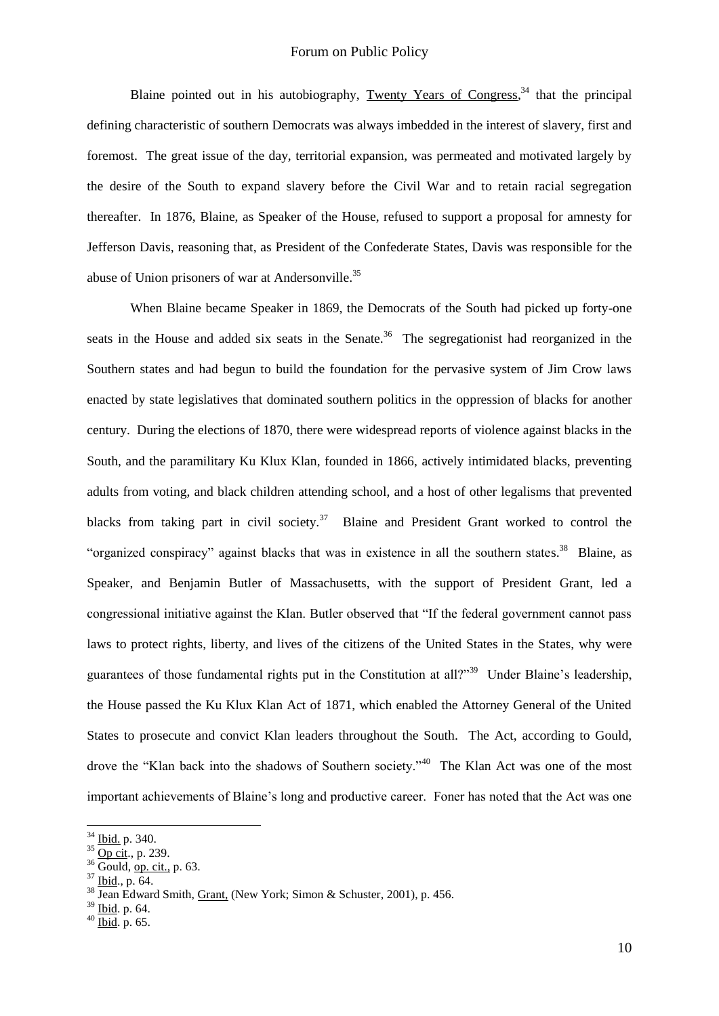Blaine pointed out in his autobiography, Twenty Years of Congress,  $34$  that the principal defining characteristic of southern Democrats was always imbedded in the interest of slavery, first and foremost. The great issue of the day, territorial expansion, was permeated and motivated largely by the desire of the South to expand slavery before the Civil War and to retain racial segregation thereafter. In 1876, Blaine, as Speaker of the House, refused to support a proposal for amnesty for Jefferson Davis, reasoning that, as President of the Confederate States, Davis was responsible for the abuse of Union prisoners of war at Andersonville.<sup>35</sup>

When Blaine became Speaker in 1869, the Democrats of the South had picked up forty-one seats in the House and added six seats in the Senate.<sup>36</sup> The segregationist had reorganized in the Southern states and had begun to build the foundation for the pervasive system of Jim Crow laws enacted by state legislatives that dominated southern politics in the oppression of blacks for another century. During the elections of 1870, there were widespread reports of violence against blacks in the South, and the paramilitary Ku Klux Klan, founded in 1866, actively intimidated blacks, preventing adults from voting, and black children attending school, and a host of other legalisms that prevented blacks from taking part in civil society.<sup>37</sup> Blaine and President Grant worked to control the "organized conspiracy" against blacks that was in existence in all the southern states.<sup>38</sup> Blaine, as Speaker, and Benjamin Butler of Massachusetts, with the support of President Grant, led a congressional initiative against the Klan. Butler observed that "If the federal government cannot pass laws to protect rights, liberty, and lives of the citizens of the United States in the States, why were guarantees of those fundamental rights put in the Constitution at all?"<sup>39</sup> Under Blaine's leadership, the House passed the Ku Klux Klan Act of 1871, which enabled the Attorney General of the United States to prosecute and convict Klan leaders throughout the South. The Act, according to Gould, drove the "Klan back into the shadows of Southern society."<sup>40</sup> The Klan Act was one of the most important achievements of Blaine"s long and productive career. Foner has noted that the Act was one

<sup>34</sup> Ibid. p. 340.

 $35 \overrightarrow{Op \text{ cit.}}, p. 239.$ 

<sup>36</sup> Gould, op. cit., p. 63.

<sup>37</sup> Ibid., p. 64.

 $38 \text{ Jean Edward Smith, Grant (New York; Simon & Schuster, 2001), p. 456.}$ 

 $39 \overline{\text{Ibid. p. 64}}$ .

 $40 \overline{\text{Ibid. p. 65}}$ .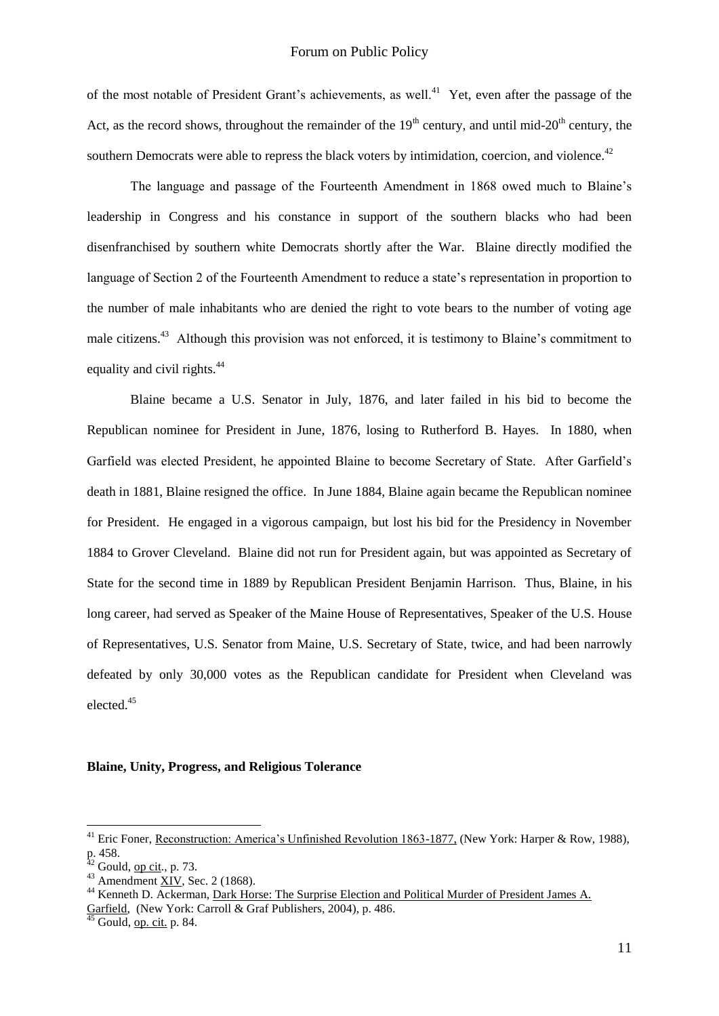of the most notable of President Grant's achievements, as well.<sup>41</sup> Yet, even after the passage of the Act, as the record shows, throughout the remainder of the  $19<sup>th</sup>$  century, and until mid-20<sup>th</sup> century, the southern Democrats were able to repress the black voters by intimidation, coercion, and violence.<sup>42</sup>

The language and passage of the Fourteenth Amendment in 1868 owed much to Blaine"s leadership in Congress and his constance in support of the southern blacks who had been disenfranchised by southern white Democrats shortly after the War. Blaine directly modified the language of Section 2 of the Fourteenth Amendment to reduce a state's representation in proportion to the number of male inhabitants who are denied the right to vote bears to the number of voting age male citizens.<sup>43</sup> Although this provision was not enforced, it is testimony to Blaine's commitment to equality and civil rights.<sup>44</sup>

Blaine became a U.S. Senator in July, 1876, and later failed in his bid to become the Republican nominee for President in June, 1876, losing to Rutherford B. Hayes. In 1880, when Garfield was elected President, he appointed Blaine to become Secretary of State. After Garfield"s death in 1881, Blaine resigned the office. In June 1884, Blaine again became the Republican nominee for President. He engaged in a vigorous campaign, but lost his bid for the Presidency in November 1884 to Grover Cleveland. Blaine did not run for President again, but was appointed as Secretary of State for the second time in 1889 by Republican President Benjamin Harrison. Thus, Blaine, in his long career, had served as Speaker of the Maine House of Representatives, Speaker of the U.S. House of Representatives, U.S. Senator from Maine, U.S. Secretary of State, twice, and had been narrowly defeated by only 30,000 votes as the Republican candidate for President when Cleveland was elected.<sup>45</sup>

#### **Blaine, Unity, Progress, and Religious Tolerance**

<sup>&</sup>lt;sup>41</sup> Eric Foner, Reconstruction: America's Unfinished Revolution 1863-1877, (New York: Harper & Row, 1988), p. 458.

 $42$  Gould, <u>op cit</u>., p. 73.

 $43$  Amendment <u>XIV</u>, Sec. 2 (1868).

<sup>44</sup> Kenneth D. Ackerman, Dark Horse: The Surprise Election and Political Murder of President James A. Garfield, (New York: Carroll & Graf Publishers, 2004), p. 486.

Gould, op. cit. p. 84.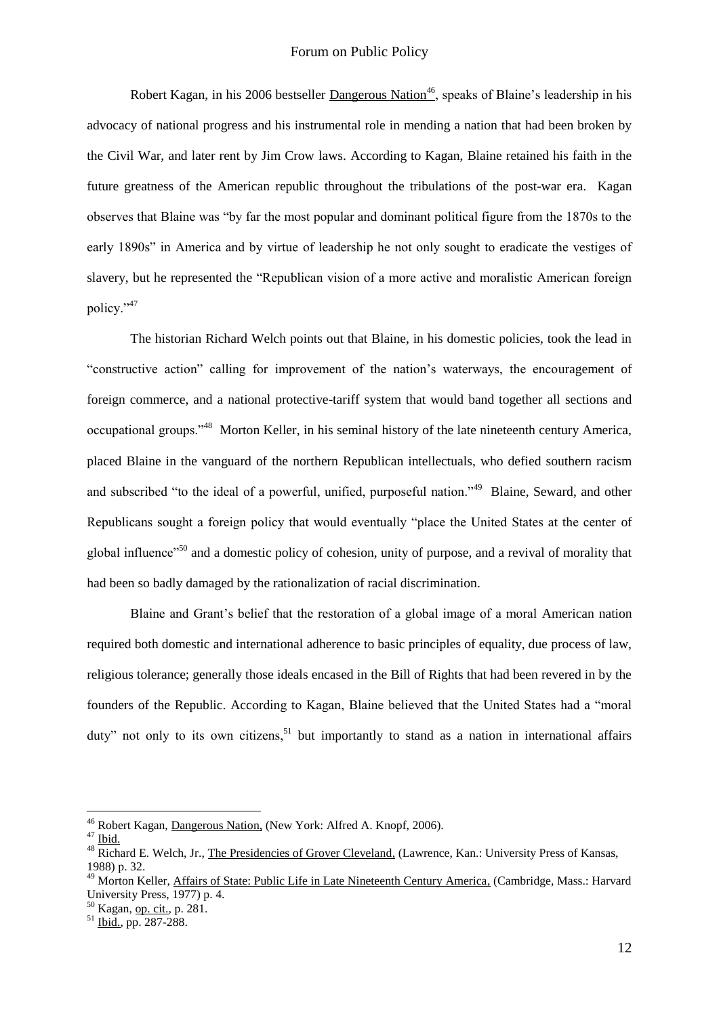Robert Kagan, in his 2006 bestseller Dangerous Nation<sup>46</sup>, speaks of Blaine's leadership in his advocacy of national progress and his instrumental role in mending a nation that had been broken by the Civil War, and later rent by Jim Crow laws. According to Kagan, Blaine retained his faith in the future greatness of the American republic throughout the tribulations of the post-war era. Kagan observes that Blaine was "by far the most popular and dominant political figure from the 1870s to the early 1890s" in America and by virtue of leadership he not only sought to eradicate the vestiges of slavery, but he represented the "Republican vision of a more active and moralistic American foreign policy."<sup>47</sup>

The historian Richard Welch points out that Blaine, in his domestic policies, took the lead in "constructive action" calling for improvement of the nation"s waterways, the encouragement of foreign commerce, and a national protective-tariff system that would band together all sections and occupational groups."<sup>48</sup> Morton Keller, in his seminal history of the late nineteenth century America, placed Blaine in the vanguard of the northern Republican intellectuals, who defied southern racism and subscribed "to the ideal of a powerful, unified, purposeful nation."<sup>49</sup> Blaine, Seward, and other Republicans sought a foreign policy that would eventually "place the United States at the center of global influence"<sup>50</sup> and a domestic policy of cohesion, unity of purpose, and a revival of morality that had been so badly damaged by the rationalization of racial discrimination.

Blaine and Grant"s belief that the restoration of a global image of a moral American nation required both domestic and international adherence to basic principles of equality, due process of law, religious tolerance; generally those ideals encased in the Bill of Rights that had been revered in by the founders of the Republic. According to Kagan, Blaine believed that the United States had a "moral duty" not only to its own citizens,  $51$  but importantly to stand as a nation in international affairs

<u>.</u>

 $50$  Kagan, op. cit., p. 281.

<sup>&</sup>lt;sup>46</sup> Robert Kagan, Dangerous Nation, (New York: Alfred A. Knopf, 2006).

 $47$  Ibid.

<sup>&</sup>lt;sup>48</sup> Richard E. Welch, Jr., The Presidencies of Grover Cleveland, (Lawrence, Kan.: University Press of Kansas, 1988) p. 32.

<sup>&</sup>lt;sup>49</sup> Morton Keller, Affairs of State: Public Life in Late Nineteenth Century America, (Cambridge, Mass.: Harvard University Press, 1977) p. 4.

<sup>51</sup> Ibid., pp. 287-288.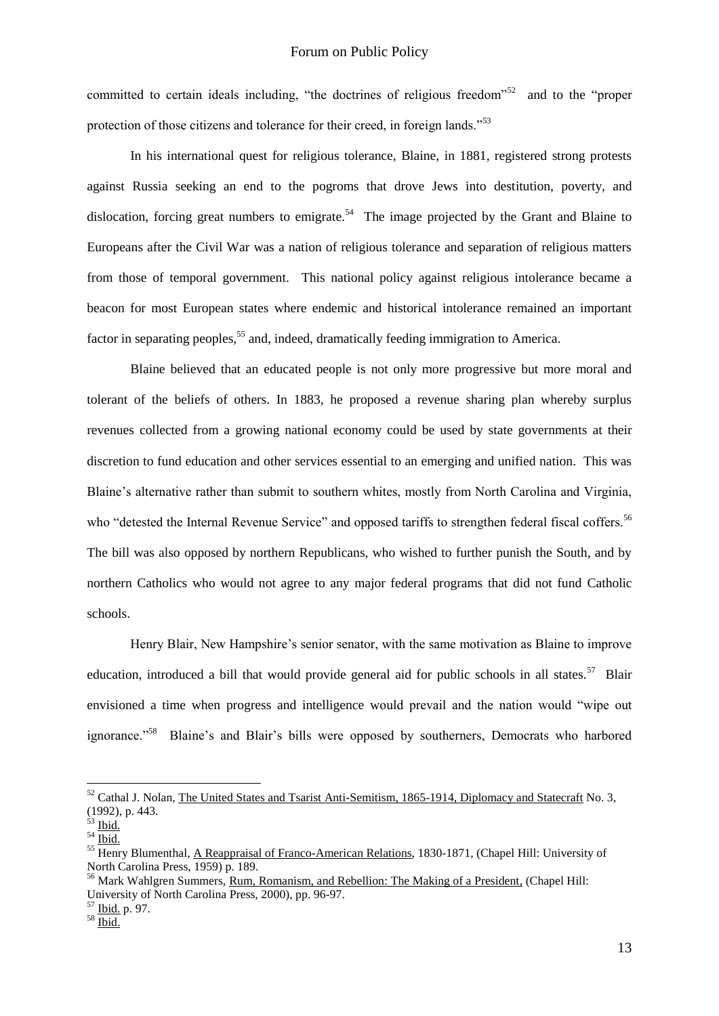committed to certain ideals including, "the doctrines of religious freedom"<sup>52</sup> and to the "proper protection of those citizens and tolerance for their creed, in foreign lands."<sup>53</sup>

In his international quest for religious tolerance, Blaine, in 1881, registered strong protests against Russia seeking an end to the pogroms that drove Jews into destitution, poverty, and dislocation, forcing great numbers to emigrate.<sup>54</sup> The image projected by the Grant and Blaine to Europeans after the Civil War was a nation of religious tolerance and separation of religious matters from those of temporal government. This national policy against religious intolerance became a beacon for most European states where endemic and historical intolerance remained an important factor in separating peoples,<sup>55</sup> and, indeed, dramatically feeding immigration to America.

Blaine believed that an educated people is not only more progressive but more moral and tolerant of the beliefs of others. In 1883, he proposed a revenue sharing plan whereby surplus revenues collected from a growing national economy could be used by state governments at their discretion to fund education and other services essential to an emerging and unified nation. This was Blaine"s alternative rather than submit to southern whites, mostly from North Carolina and Virginia, who "detested the Internal Revenue Service" and opposed tariffs to strengthen federal fiscal coffers.<sup>56</sup> The bill was also opposed by northern Republicans, who wished to further punish the South, and by northern Catholics who would not agree to any major federal programs that did not fund Catholic schools.

Henry Blair, New Hampshire"s senior senator, with the same motivation as Blaine to improve education, introduced a bill that would provide general aid for public schools in all states.<sup>57</sup> Blair envisioned a time when progress and intelligence would prevail and the nation would "wipe out ignorance."<sup>58</sup> Blaine's and Blair's bills were opposed by southerners, Democrats who harbored

<sup>&</sup>lt;sup>52</sup> Cathal J. Nolan, The United States and Tsarist Anti-Semitism, 1865-1914, Diplomacy and Statecraft No. 3, (1992), p. 443.

 $53$  Ibid.

 $^{54}$  Ibid.

<sup>&</sup>lt;sup>55</sup> Henry Blumenthal, A Reappraisal of Franco-American Relations, 1830-1871, (Chapel Hill: University of North Carolina Press, 1959) p. 189.

<sup>&</sup>lt;sup>56</sup> Mark Wahlgren Summers, Rum, Romanism, and Rebellion: The Making of a President, (Chapel Hill: University of North Carolina Press, 2000), pp. 96-97.

 $rac{57}{10}$  Ibid. p. 97.

 $58 \overline{\text{Ibid.}}$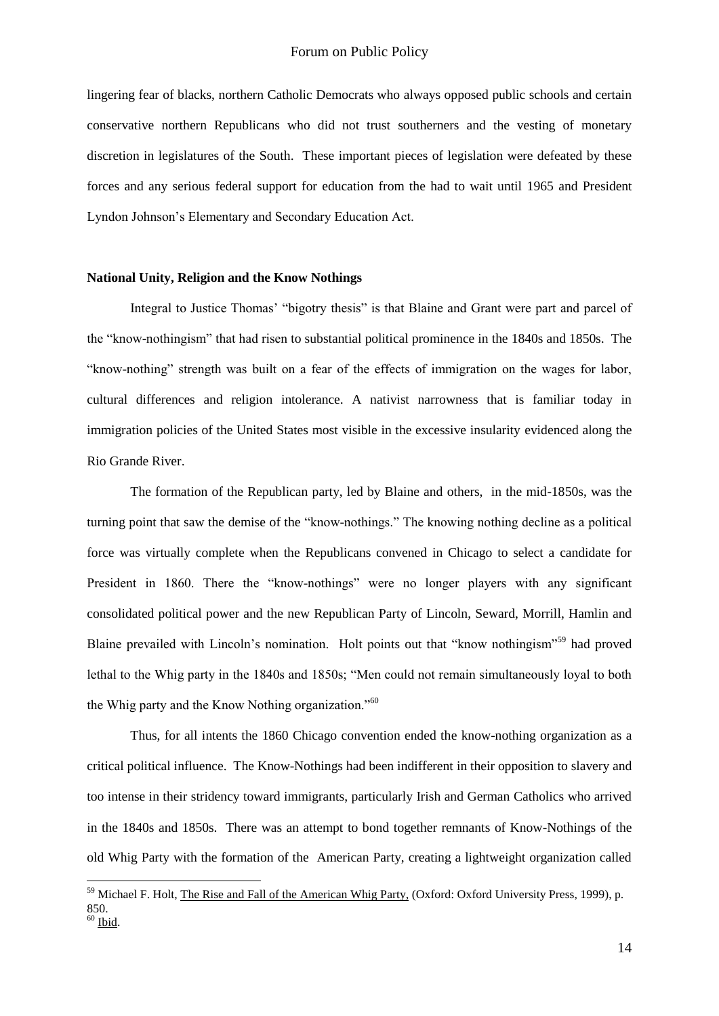lingering fear of blacks, northern Catholic Democrats who always opposed public schools and certain conservative northern Republicans who did not trust southerners and the vesting of monetary discretion in legislatures of the South. These important pieces of legislation were defeated by these forces and any serious federal support for education from the had to wait until 1965 and President Lyndon Johnson"s Elementary and Secondary Education Act.

#### **National Unity, Religion and the Know Nothings**

1

Integral to Justice Thomas" "bigotry thesis" is that Blaine and Grant were part and parcel of the "know-nothingism" that had risen to substantial political prominence in the 1840s and 1850s. The "know-nothing" strength was built on a fear of the effects of immigration on the wages for labor, cultural differences and religion intolerance. A nativist narrowness that is familiar today in immigration policies of the United States most visible in the excessive insularity evidenced along the Rio Grande River.

The formation of the Republican party, led by Blaine and others, in the mid-1850s, was the turning point that saw the demise of the "know-nothings." The knowing nothing decline as a political force was virtually complete when the Republicans convened in Chicago to select a candidate for President in 1860. There the "know-nothings" were no longer players with any significant consolidated political power and the new Republican Party of Lincoln, Seward, Morrill, Hamlin and Blaine prevailed with Lincoln's nomination. Holt points out that "know nothingism"<sup>59</sup> had proved lethal to the Whig party in the 1840s and 1850s; "Men could not remain simultaneously loyal to both the Whig party and the Know Nothing organization."<sup>60</sup>

Thus, for all intents the 1860 Chicago convention ended the know-nothing organization as a critical political influence. The Know-Nothings had been indifferent in their opposition to slavery and too intense in their stridency toward immigrants, particularly Irish and German Catholics who arrived in the 1840s and 1850s. There was an attempt to bond together remnants of Know-Nothings of the old Whig Party with the formation of the American Party, creating a lightweight organization called

<sup>&</sup>lt;sup>59</sup> Michael F. Holt, The Rise and Fall of the American Whig Party, (Oxford: Oxford University Press, 1999), p. 850.  $60$  Ibid.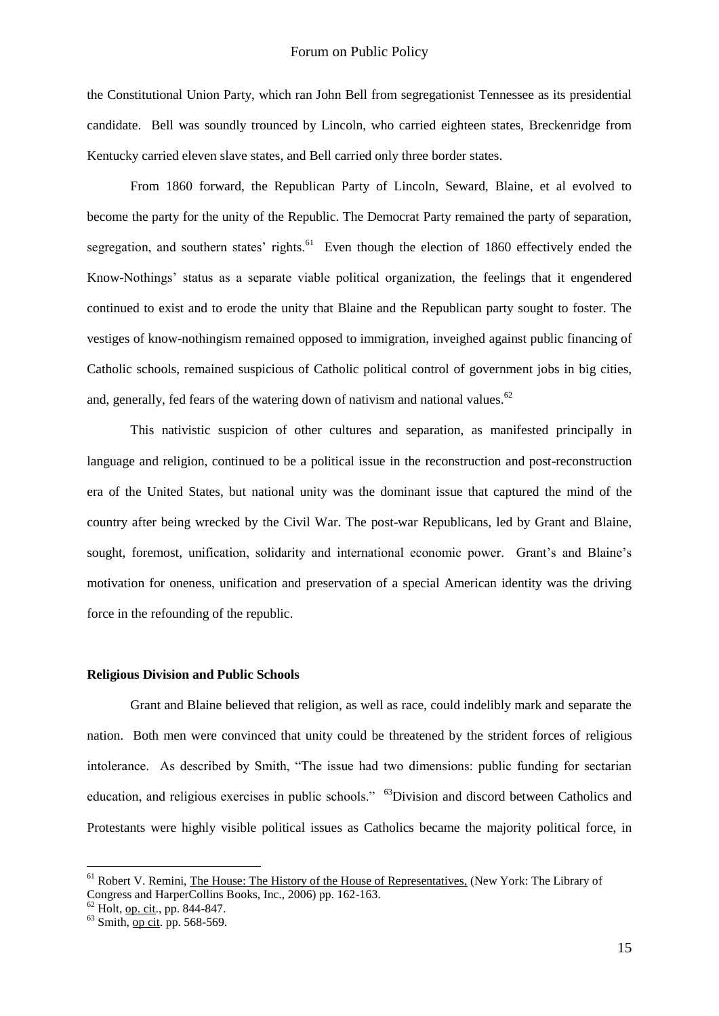the Constitutional Union Party, which ran John Bell from segregationist Tennessee as its presidential candidate. Bell was soundly trounced by Lincoln, who carried eighteen states, Breckenridge from Kentucky carried eleven slave states, and Bell carried only three border states.

From 1860 forward, the Republican Party of Lincoln, Seward, Blaine, et al evolved to become the party for the unity of the Republic. The Democrat Party remained the party of separation, segregation, and southern states' rights.<sup>61</sup> Even though the election of 1860 effectively ended the Know-Nothings" status as a separate viable political organization, the feelings that it engendered continued to exist and to erode the unity that Blaine and the Republican party sought to foster. The vestiges of know-nothingism remained opposed to immigration, inveighed against public financing of Catholic schools, remained suspicious of Catholic political control of government jobs in big cities, and, generally, fed fears of the watering down of nativism and national values.<sup>62</sup>

This nativistic suspicion of other cultures and separation, as manifested principally in language and religion, continued to be a political issue in the reconstruction and post-reconstruction era of the United States, but national unity was the dominant issue that captured the mind of the country after being wrecked by the Civil War. The post-war Republicans, led by Grant and Blaine, sought, foremost, unification, solidarity and international economic power. Grant's and Blaine's motivation for oneness, unification and preservation of a special American identity was the driving force in the refounding of the republic.

#### **Religious Division and Public Schools**

Grant and Blaine believed that religion, as well as race, could indelibly mark and separate the nation. Both men were convinced that unity could be threatened by the strident forces of religious intolerance. As described by Smith, "The issue had two dimensions: public funding for sectarian education, and religious exercises in public schools." <sup>63</sup>Division and discord between Catholics and Protestants were highly visible political issues as Catholics became the majority political force, in

<sup>&</sup>lt;sup>61</sup> Robert V. Remini, The House: The History of the House of Representatives, (New York: The Library of Congress and HarperCollins Books, Inc., 2006) pp. 162-163.

 $^{62}$  Holt, <u>op. cit</u>., pp. 844-847.

 $63$  Smith, op cit. pp. 568-569.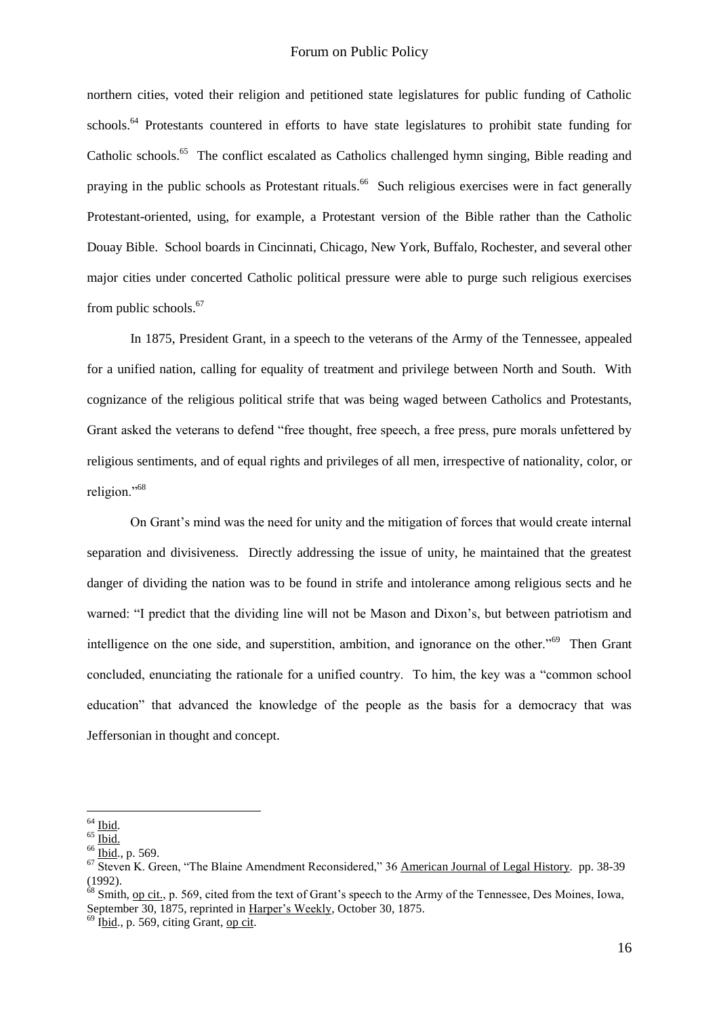### Forum on Public Policy

northern cities, voted their religion and petitioned state legislatures for public funding of Catholic schools.<sup>64</sup> Protestants countered in efforts to have state legislatures to prohibit state funding for Catholic schools.<sup>65</sup> The conflict escalated as Catholics challenged hymn singing, Bible reading and praying in the public schools as Protestant rituals.<sup>66</sup> Such religious exercises were in fact generally Protestant-oriented, using, for example, a Protestant version of the Bible rather than the Catholic Douay Bible. School boards in Cincinnati, Chicago, New York, Buffalo, Rochester, and several other major cities under concerted Catholic political pressure were able to purge such religious exercises from public schools.<sup>67</sup>

In 1875, President Grant, in a speech to the veterans of the Army of the Tennessee, appealed for a unified nation, calling for equality of treatment and privilege between North and South. With cognizance of the religious political strife that was being waged between Catholics and Protestants, Grant asked the veterans to defend "free thought, free speech, a free press, pure morals unfettered by religious sentiments, and of equal rights and privileges of all men, irrespective of nationality, color, or religion."<sup>68</sup>

On Grant"s mind was the need for unity and the mitigation of forces that would create internal separation and divisiveness. Directly addressing the issue of unity, he maintained that the greatest danger of dividing the nation was to be found in strife and intolerance among religious sects and he warned: "I predict that the dividing line will not be Mason and Dixon"s, but between patriotism and intelligence on the one side, and superstition, ambition, and ignorance on the other."<sup>69</sup> Then Grant concluded, enunciating the rationale for a unified country. To him, the key was a "common school education" that advanced the knowledge of the people as the basis for a democracy that was Jeffersonian in thought and concept.

<sup>&</sup>lt;u>.</u>  $64$  Ibid.

 $65$  Ibid.

<sup>66</sup> Ibid., p. 569.

 $\overline{67}$  Steven K. Green, "The Blaine Amendment Reconsidered," 36 American Journal of Legal History. pp. 38-39 (1992).

 $^{68}$  Smith, op cit., p. 569, cited from the text of Grant's speech to the Army of the Tennessee, Des Moines, Iowa, September 30, 1875, reprinted in Harper's Weekly, October 30, 1875.

 $69$  Ibid., p. 569, citing Grant, op cit.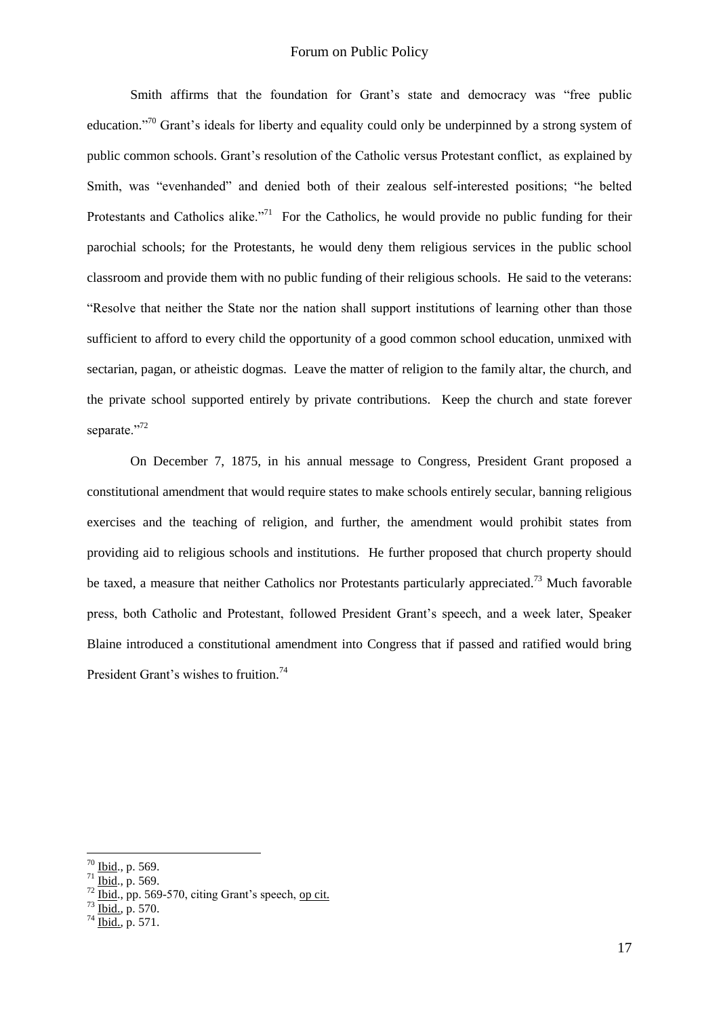## Forum on Public Policy

Smith affirms that the foundation for Grant's state and democracy was "free public education."<sup>70</sup> Grant's ideals for liberty and equality could only be underpinned by a strong system of public common schools. Grant's resolution of the Catholic versus Protestant conflict, as explained by Smith, was "evenhanded" and denied both of their zealous self-interested positions; "he belted Protestants and Catholics alike."<sup>71</sup> For the Catholics, he would provide no public funding for their parochial schools; for the Protestants, he would deny them religious services in the public school classroom and provide them with no public funding of their religious schools. He said to the veterans: "Resolve that neither the State nor the nation shall support institutions of learning other than those sufficient to afford to every child the opportunity of a good common school education, unmixed with sectarian, pagan, or atheistic dogmas. Leave the matter of religion to the family altar, the church, and the private school supported entirely by private contributions. Keep the church and state forever separate."<sup>72</sup>

On December 7, 1875, in his annual message to Congress, President Grant proposed a constitutional amendment that would require states to make schools entirely secular, banning religious exercises and the teaching of religion, and further, the amendment would prohibit states from providing aid to religious schools and institutions. He further proposed that church property should be taxed, a measure that neither Catholics nor Protestants particularly appreciated.<sup>73</sup> Much favorable press, both Catholic and Protestant, followed President Grant's speech, and a week later, Speaker Blaine introduced a constitutional amendment into Congress that if passed and ratified would bring President Grant's wishes to fruition.<sup>74</sup>

<u>.</u>

 $70$  Ibid., p. 569.

 $^{71}$  Ibid., p. 569.

 $72 \frac{\text{Ibid}}{\text{Ibiid}}$ , pp. 569-570, citing Grant's speech, op cit.

 $^{73}$   $\frac{\text{I}\ddot{\text{O}}\text{1}\text{O}}{\text{I}\text{b}\text{I}\text{d}}$ , p. 570.

 $^{74}$  Ibid., p. 571.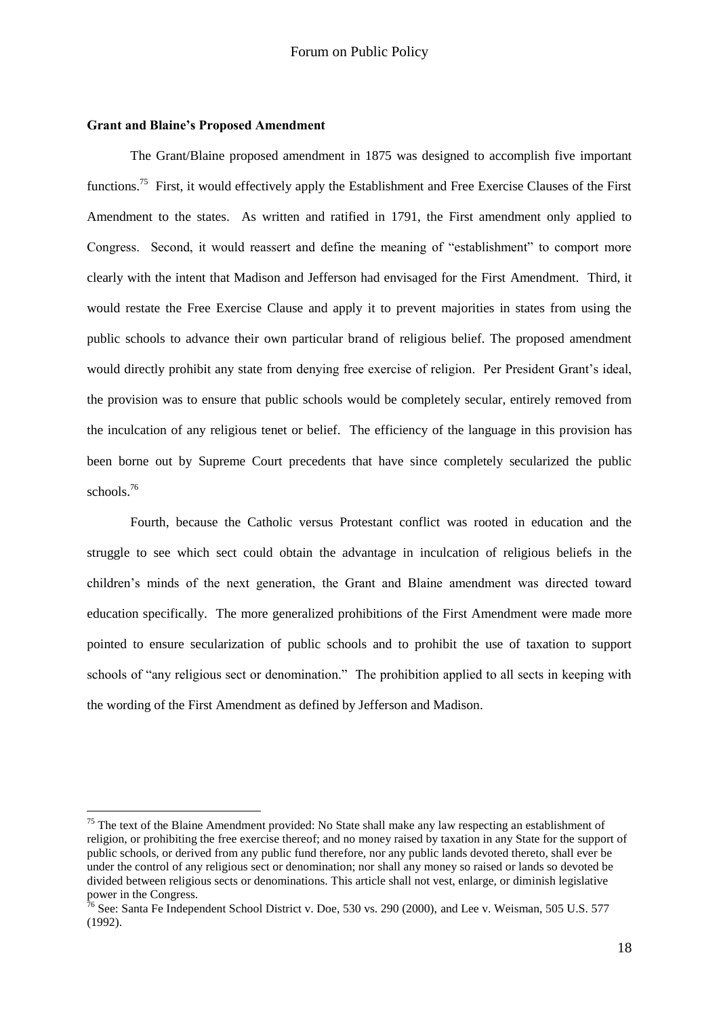### **Grant and Blaine's Proposed Amendment**

<u>.</u>

The Grant/Blaine proposed amendment in 1875 was designed to accomplish five important functions.<sup>75</sup> First, it would effectively apply the Establishment and Free Exercise Clauses of the First Amendment to the states. As written and ratified in 1791, the First amendment only applied to Congress. Second, it would reassert and define the meaning of "establishment" to comport more clearly with the intent that Madison and Jefferson had envisaged for the First Amendment. Third, it would restate the Free Exercise Clause and apply it to prevent majorities in states from using the public schools to advance their own particular brand of religious belief. The proposed amendment would directly prohibit any state from denying free exercise of religion. Per President Grant's ideal, the provision was to ensure that public schools would be completely secular, entirely removed from the inculcation of any religious tenet or belief. The efficiency of the language in this provision has been borne out by Supreme Court precedents that have since completely secularized the public schools.<sup>76</sup>

Fourth, because the Catholic versus Protestant conflict was rooted in education and the struggle to see which sect could obtain the advantage in inculcation of religious beliefs in the children"s minds of the next generation, the Grant and Blaine amendment was directed toward education specifically. The more generalized prohibitions of the First Amendment were made more pointed to ensure secularization of public schools and to prohibit the use of taxation to support schools of "any religious sect or denomination." The prohibition applied to all sects in keeping with the wording of the First Amendment as defined by Jefferson and Madison.

 $75$  The text of the Blaine Amendment provided: No State shall make any law respecting an establishment of religion, or prohibiting the free exercise thereof; and no money raised by taxation in any State for the support of public schools, or derived from any public fund therefore, nor any public lands devoted thereto, shall ever be under the control of any religious sect or denomination; nor shall any money so raised or lands so devoted be divided between religious sects or denominations. This article shall not vest, enlarge, or diminish legislative power in the Congress.

 $\frac{76}{16}$  See: Santa Fe Independent School District v. Doe, 530 vs. 290 (2000), and Lee v. Weisman, 505 U.S. 577 (1992).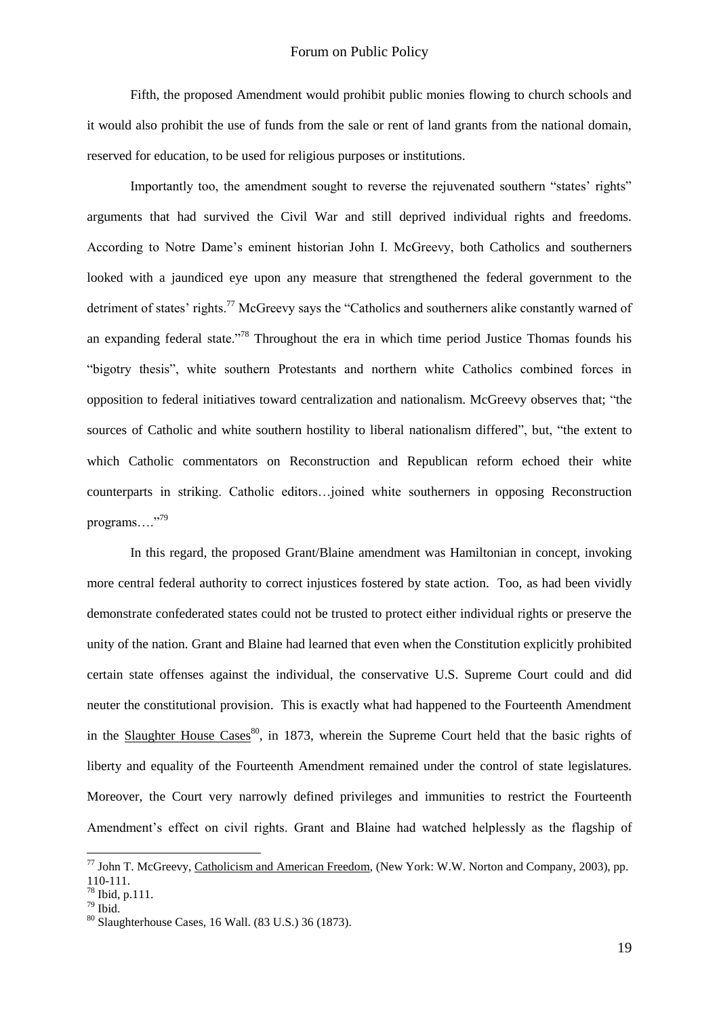Fifth, the proposed Amendment would prohibit public monies flowing to church schools and it would also prohibit the use of funds from the sale or rent of land grants from the national domain, reserved for education, to be used for religious purposes or institutions.

Importantly too, the amendment sought to reverse the rejuvenated southern "states' rights" arguments that had survived the Civil War and still deprived individual rights and freedoms. According to Notre Dame"s eminent historian John I. McGreevy, both Catholics and southerners looked with a jaundiced eye upon any measure that strengthened the federal government to the detriment of states' rights.<sup>77</sup> McGreevy says the "Catholics and southerners alike constantly warned of an expanding federal state."<sup>78</sup> Throughout the era in which time period Justice Thomas founds his "bigotry thesis", white southern Protestants and northern white Catholics combined forces in opposition to federal initiatives toward centralization and nationalism. McGreevy observes that; "the sources of Catholic and white southern hostility to liberal nationalism differed", but, "the extent to which Catholic commentators on Reconstruction and Republican reform echoed their white counterparts in striking. Catholic editors…joined white southerners in opposing Reconstruction programs...."<sup>79</sup>

In this regard, the proposed Grant/Blaine amendment was Hamiltonian in concept, invoking more central federal authority to correct injustices fostered by state action. Too, as had been vividly demonstrate confederated states could not be trusted to protect either individual rights or preserve the unity of the nation. Grant and Blaine had learned that even when the Constitution explicitly prohibited certain state offenses against the individual, the conservative U.S. Supreme Court could and did neuter the constitutional provision. This is exactly what had happened to the Fourteenth Amendment in the Slaughter House Cases<sup>80</sup>, in 1873, wherein the Supreme Court held that the basic rights of liberty and equality of the Fourteenth Amendment remained under the control of state legislatures. Moreover, the Court very narrowly defined privileges and immunities to restrict the Fourteenth Amendment"s effect on civil rights. Grant and Blaine had watched helplessly as the flagship of

<u>.</u>

 $^{77}$  John T. McGreevy, Catholicism and American Freedom, (New York: W.W. Norton and Company, 2003), pp. 110-111.

 $78$  Ibid, p.111.

<sup>79</sup> Ibid.

 $80$  Slaughterhouse Cases, 16 Wall. (83 U.S.) 36 (1873).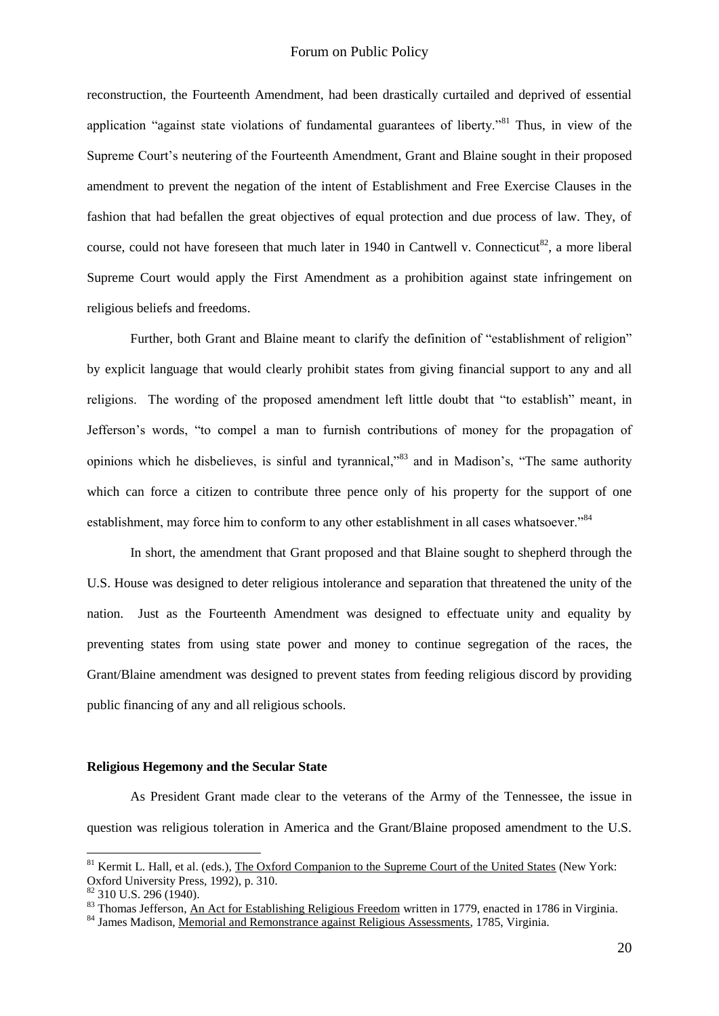### Forum on Public Policy

reconstruction, the Fourteenth Amendment, had been drastically curtailed and deprived of essential application "against state violations of fundamental guarantees of liberty."<sup>81</sup> Thus, in view of the Supreme Court"s neutering of the Fourteenth Amendment, Grant and Blaine sought in their proposed amendment to prevent the negation of the intent of Establishment and Free Exercise Clauses in the fashion that had befallen the great objectives of equal protection and due process of law. They, of course, could not have foreseen that much later in 1940 in Cantwell v. Connecticut<sup>82</sup>, a more liberal Supreme Court would apply the First Amendment as a prohibition against state infringement on religious beliefs and freedoms.

Further, both Grant and Blaine meant to clarify the definition of "establishment of religion" by explicit language that would clearly prohibit states from giving financial support to any and all religions. The wording of the proposed amendment left little doubt that "to establish" meant, in Jefferson"s words, "to compel a man to furnish contributions of money for the propagation of opinions which he disbelieves, is sinful and tyrannical,"<sup>83</sup> and in Madison"s, "The same authority which can force a citizen to contribute three pence only of his property for the support of one establishment, may force him to conform to any other establishment in all cases whatsoever."<sup>84</sup>

In short, the amendment that Grant proposed and that Blaine sought to shepherd through the U.S. House was designed to deter religious intolerance and separation that threatened the unity of the nation. Just as the Fourteenth Amendment was designed to effectuate unity and equality by preventing states from using state power and money to continue segregation of the races, the Grant/Blaine amendment was designed to prevent states from feeding religious discord by providing public financing of any and all religious schools.

### **Religious Hegemony and the Secular State**

As President Grant made clear to the veterans of the Army of the Tennessee, the issue in question was religious toleration in America and the Grant/Blaine proposed amendment to the U.S.

<u>.</u>

<sup>&</sup>lt;sup>81</sup> Kermit L. Hall, et al. (eds.), The Oxford Companion to the Supreme Court of the United States (New York: Oxford University Press, 1992), p. 310.

 $82$  310 U.S. 296 (1940).

<sup>83</sup> Thomas Jefferson, An Act for Establishing Religious Freedom written in 1779, enacted in 1786 in Virginia.

<sup>&</sup>lt;sup>84</sup> James Madison, Memorial and Remonstrance against Religious Assessments, 1785, Virginia.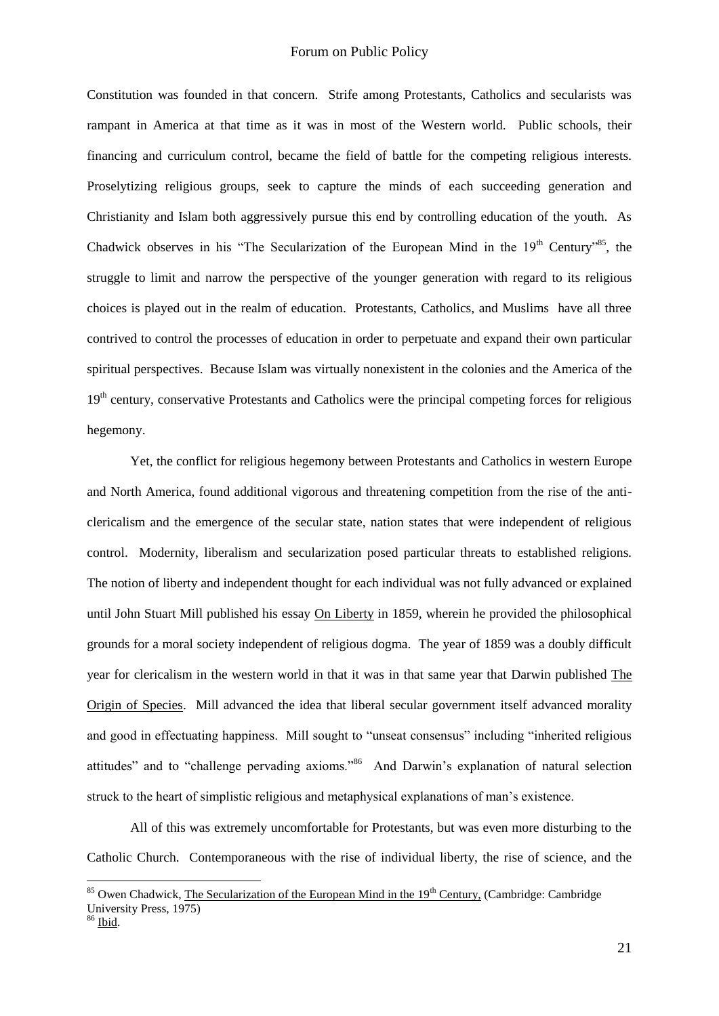Constitution was founded in that concern. Strife among Protestants, Catholics and secularists was rampant in America at that time as it was in most of the Western world. Public schools, their financing and curriculum control, became the field of battle for the competing religious interests. Proselytizing religious groups, seek to capture the minds of each succeeding generation and Christianity and Islam both aggressively pursue this end by controlling education of the youth. As Chadwick observes in his "The Secularization of the European Mind in the 19<sup>th</sup> Century"<sup>85</sup>, the struggle to limit and narrow the perspective of the younger generation with regard to its religious choices is played out in the realm of education. Protestants, Catholics, and Muslims have all three contrived to control the processes of education in order to perpetuate and expand their own particular spiritual perspectives. Because Islam was virtually nonexistent in the colonies and the America of the 19<sup>th</sup> century, conservative Protestants and Catholics were the principal competing forces for religious hegemony.

Yet, the conflict for religious hegemony between Protestants and Catholics in western Europe and North America, found additional vigorous and threatening competition from the rise of the anticlericalism and the emergence of the secular state, nation states that were independent of religious control. Modernity, liberalism and secularization posed particular threats to established religions. The notion of liberty and independent thought for each individual was not fully advanced or explained until John Stuart Mill published his essay On Liberty in 1859, wherein he provided the philosophical grounds for a moral society independent of religious dogma. The year of 1859 was a doubly difficult year for clericalism in the western world in that it was in that same year that Darwin published The Origin of Species. Mill advanced the idea that liberal secular government itself advanced morality and good in effectuating happiness. Mill sought to "unseat consensus" including "inherited religious attitudes" and to "challenge pervading axioms."<sup>86</sup> And Darwin's explanation of natural selection struck to the heart of simplistic religious and metaphysical explanations of man"s existence.

All of this was extremely uncomfortable for Protestants, but was even more disturbing to the Catholic Church. Contemporaneous with the rise of individual liberty, the rise of science, and the

 $85$  Owen Chadwick, The Secularization of the European Mind in the  $19<sup>th</sup>$  Century, (Cambridge: Cambridge University Press, 1975)

<sup>86</sup> Ibid.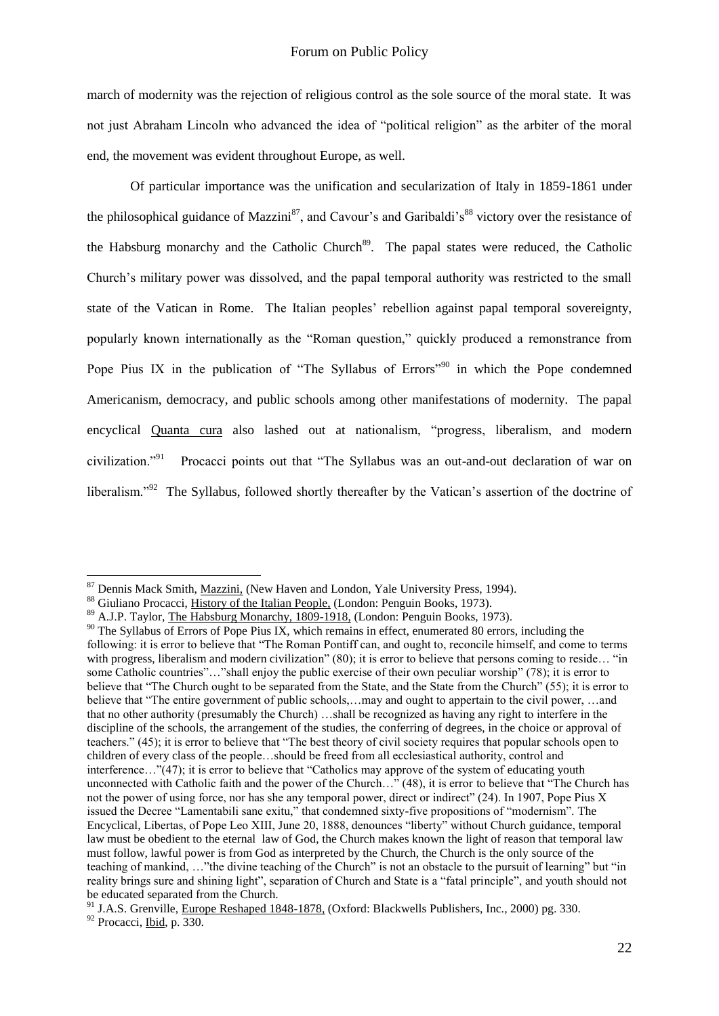march of modernity was the rejection of religious control as the sole source of the moral state. It was not just Abraham Lincoln who advanced the idea of "political religion" as the arbiter of the moral end, the movement was evident throughout Europe, as well.

Of particular importance was the unification and secularization of Italy in 1859-1861 under the philosophical guidance of Mazzini<sup>87</sup>, and Cavour's and Garibaldi's<sup>88</sup> victory over the resistance of the Habsburg monarchy and the Catholic Church<sup>89</sup>. The papal states were reduced, the Catholic Church"s military power was dissolved, and the papal temporal authority was restricted to the small state of the Vatican in Rome. The Italian peoples" rebellion against papal temporal sovereignty, popularly known internationally as the "Roman question," quickly produced a remonstrance from Pope Pius IX in the publication of "The Syllabus of Errors"<sup>90</sup> in which the Pope condemned Americanism, democracy, and public schools among other manifestations of modernity. The papal encyclical Quanta cura also lashed out at nationalism, "progress, liberalism, and modern civilization $^{91}$  Procacci points out that "The Syllabus was an out-and-out declaration of war on liberalism."<sup>92</sup> The Syllabus, followed shortly thereafter by the Vatican's assertion of the doctrine of

<sup>&</sup>lt;sup>87</sup> Dennis Mack Smith, Mazzini, (New Haven and London, Yale University Press, 1994).

<sup>88</sup> Giuliano Procacci, History of the Italian People, (London: Penguin Books, 1973).

<sup>89</sup> A.J.P. Taylor, The Habsburg Monarchy, 1809-1918, (London: Penguin Books, 1973).

<sup>&</sup>lt;sup>90</sup> The Syllabus of Errors of Pope Pius IX, which remains in effect, enumerated 80 errors, including the following: it is error to believe that "The Roman Pontiff can, and ought to, reconcile himself, and come to terms with progress, liberalism and modern civilization" (80); it is error to believe that persons coming to reside... "in some Catholic countries"…"shall enjoy the public exercise of their own peculiar worship" (78); it is error to believe that "The Church ought to be separated from the State, and the State from the Church" (55); it is error to believe that "The entire government of public schools,…may and ought to appertain to the civil power, …and that no other authority (presumably the Church) …shall be recognized as having any right to interfere in the discipline of the schools, the arrangement of the studies, the conferring of degrees, in the choice or approval of teachers." (45); it is error to believe that "The best theory of civil society requires that popular schools open to children of every class of the people…should be freed from all ecclesiastical authority, control and interference…"(47); it is error to believe that "Catholics may approve of the system of educating youth unconnected with Catholic faith and the power of the Church…" (48), it is error to believe that "The Church has not the power of using force, nor has she any temporal power, direct or indirect" (24). In 1907, Pope Pius X issued the Decree "Lamentabili sane exitu," that condemned sixty-five propositions of "modernism". The Encyclical, Libertas, of Pope Leo XIII, June 20, 1888, denounces "liberty" without Church guidance, temporal law must be obedient to the eternal law of God, the Church makes known the light of reason that temporal law must follow, lawful power is from God as interpreted by the Church, the Church is the only source of the teaching of mankind, …"the divine teaching of the Church" is not an obstacle to the pursuit of learning" but "in reality brings sure and shining light", separation of Church and State is a "fatal principle", and youth should not be educated separated from the Church.

<sup>&</sup>lt;sup>91</sup> J.A.S. Grenville, Europe Reshaped 1848-1878, (Oxford: Blackwells Publishers, Inc., 2000) pg. 330.  $92$  Procacci, Ibid, p.  $330$ .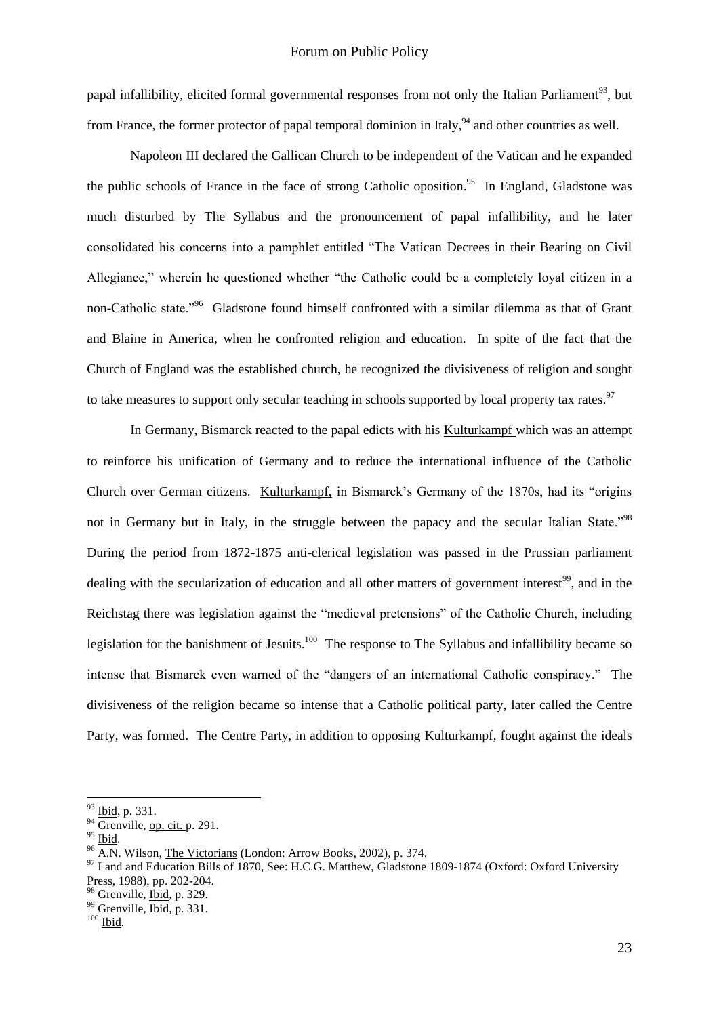papal infallibility, elicited formal governmental responses from not only the Italian Parliament<sup>93</sup>, but from France, the former protector of papal temporal dominion in Italy, <sup>94</sup> and other countries as well.

Napoleon III declared the Gallican Church to be independent of the Vatican and he expanded the public schools of France in the face of strong Catholic oposition.<sup>95</sup> In England, Gladstone was much disturbed by The Syllabus and the pronouncement of papal infallibility, and he later consolidated his concerns into a pamphlet entitled "The Vatican Decrees in their Bearing on Civil Allegiance," wherein he questioned whether "the Catholic could be a completely loyal citizen in a non-Catholic state."<sup>96</sup> Gladstone found himself confronted with a similar dilemma as that of Grant and Blaine in America, when he confronted religion and education. In spite of the fact that the Church of England was the established church, he recognized the divisiveness of religion and sought to take measures to support only secular teaching in schools supported by local property tax rates.<sup>97</sup>

In Germany, Bismarck reacted to the papal edicts with his Kulturkampf which was an attempt to reinforce his unification of Germany and to reduce the international influence of the Catholic Church over German citizens. Kulturkampf, in Bismarck"s Germany of the 1870s, had its "origins not in Germany but in Italy, in the struggle between the papacy and the secular Italian State."<sup>98</sup> During the period from 1872-1875 anti-clerical legislation was passed in the Prussian parliament dealing with the secularization of education and all other matters of government interest<sup>99</sup>, and in the Reichstag there was legislation against the "medieval pretensions" of the Catholic Church, including legislation for the banishment of Jesuits.<sup>100</sup> The response to The Syllabus and infallibility became so intense that Bismarck even warned of the "dangers of an international Catholic conspiracy." The divisiveness of the religion became so intense that a Catholic political party, later called the Centre Party, was formed. The Centre Party, in addition to opposing Kulturkampf, fought against the ideals

<sup>93</sup> Ibid, p. 331.

 $94 \overline{\text{Grenville}}$ , op. cit. p. 291.

 $95$  Ibid.

<sup>96</sup> A.N. Wilson, The Victorians (London: Arrow Books, 2002), p. 374.

<sup>&</sup>lt;sup>97</sup> Land and Education Bills of 1870, See: H.C.G. Matthew, Gladstone 1809-1874 (Oxford: Oxford University Press, 1988), pp. 202-204.

<sup>98</sup> Grenville, Ibid, p. 329.

<sup>&</sup>lt;sup>99</sup> Grenville, Ibid, p. 331.

 $100$  Ibid.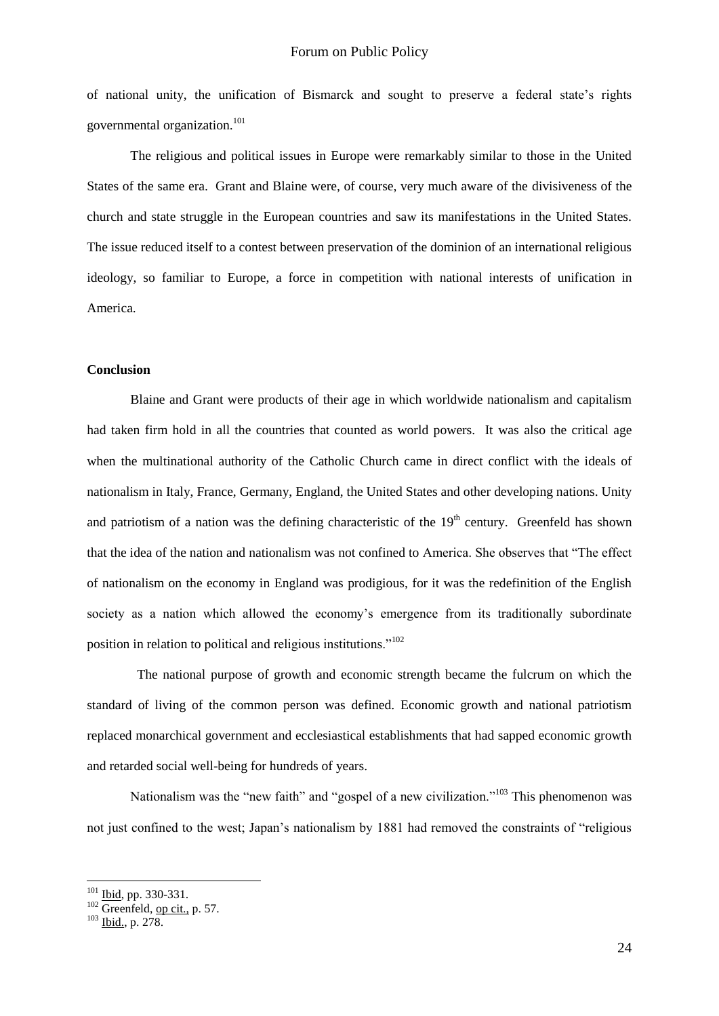of national unity, the unification of Bismarck and sought to preserve a federal state"s rights governmental organization.<sup>101</sup>

The religious and political issues in Europe were remarkably similar to those in the United States of the same era. Grant and Blaine were, of course, very much aware of the divisiveness of the church and state struggle in the European countries and saw its manifestations in the United States. The issue reduced itself to a contest between preservation of the dominion of an international religious ideology, so familiar to Europe, a force in competition with national interests of unification in America.

#### **Conclusion**

Blaine and Grant were products of their age in which worldwide nationalism and capitalism had taken firm hold in all the countries that counted as world powers. It was also the critical age when the multinational authority of the Catholic Church came in direct conflict with the ideals of nationalism in Italy, France, Germany, England, the United States and other developing nations. Unity and patriotism of a nation was the defining characteristic of the  $19<sup>th</sup>$  century. Greenfeld has shown that the idea of the nation and nationalism was not confined to America. She observes that "The effect of nationalism on the economy in England was prodigious, for it was the redefinition of the English society as a nation which allowed the economy's emergence from its traditionally subordinate position in relation to political and religious institutions."<sup>102</sup>

 The national purpose of growth and economic strength became the fulcrum on which the standard of living of the common person was defined. Economic growth and national patriotism replaced monarchical government and ecclesiastical establishments that had sapped economic growth and retarded social well-being for hundreds of years.

Nationalism was the "new faith" and "gospel of a new civilization."<sup>103</sup> This phenomenon was not just confined to the west; Japan"s nationalism by 1881 had removed the constraints of "religious

 $101$  Ibid, pp. 330-331.

 $102$  Greenfeld, op cit., p. 57.

 $103$  Ibid., p. 278.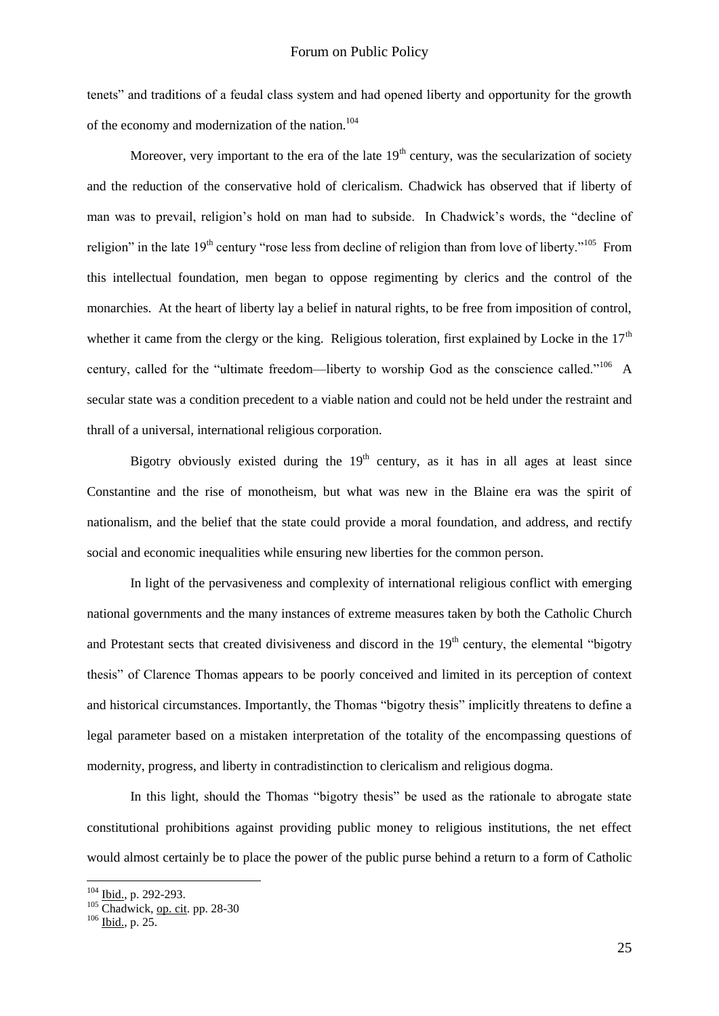tenets" and traditions of a feudal class system and had opened liberty and opportunity for the growth of the economy and modernization of the nation.<sup>104</sup>

Moreover, very important to the era of the late  $19<sup>th</sup>$  century, was the secularization of society and the reduction of the conservative hold of clericalism. Chadwick has observed that if liberty of man was to prevail, religion's hold on man had to subside. In Chadwick's words, the "decline of religion" in the late  $19<sup>th</sup>$  century "rose less from decline of religion than from love of liberty."<sup>105</sup> From this intellectual foundation, men began to oppose regimenting by clerics and the control of the monarchies. At the heart of liberty lay a belief in natural rights, to be free from imposition of control, whether it came from the clergy or the king. Religious toleration, first explained by Locke in the  $17<sup>th</sup>$ century, called for the "ultimate freedom—liberty to worship God as the conscience called."<sup>106</sup> A secular state was a condition precedent to a viable nation and could not be held under the restraint and thrall of a universal, international religious corporation.

Bigotry obviously existed during the  $19<sup>th</sup>$  century, as it has in all ages at least since Constantine and the rise of monotheism, but what was new in the Blaine era was the spirit of nationalism, and the belief that the state could provide a moral foundation, and address, and rectify social and economic inequalities while ensuring new liberties for the common person.

In light of the pervasiveness and complexity of international religious conflict with emerging national governments and the many instances of extreme measures taken by both the Catholic Church and Protestant sects that created divisiveness and discord in the 19<sup>th</sup> century, the elemental "bigotry" thesis" of Clarence Thomas appears to be poorly conceived and limited in its perception of context and historical circumstances. Importantly, the Thomas "bigotry thesis" implicitly threatens to define a legal parameter based on a mistaken interpretation of the totality of the encompassing questions of modernity, progress, and liberty in contradistinction to clericalism and religious dogma.

In this light, should the Thomas "bigotry thesis" be used as the rationale to abrogate state constitutional prohibitions against providing public money to religious institutions, the net effect would almost certainly be to place the power of the public purse behind a return to a form of Catholic

<sup>104</sup> Ibid., p. 292-293.

 $105$  Chadwick, op. cit. pp. 28-30

 $106$  Ibid., p. 25.